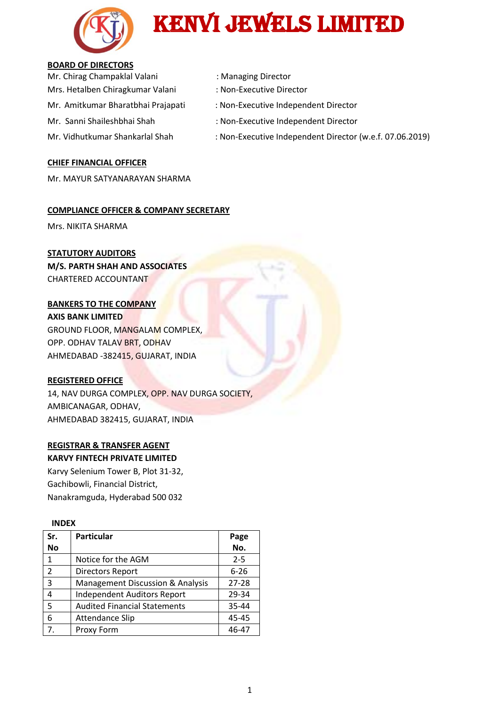

#### **BOARD OF DIRECTORS**

Mr. Chirag Champaklal Valani : Managing Director Mrs. Hetalben Chiragkumar Valani : Non-Executive Director

#### **CHIEF FINANCIAL OFFICER**

Mr. MAYUR SATYANARAYAN SHARMA

#### **COMPLIANCE OFFICER & COMPANY SECRETARY**

Mrs. NIKITA SHARMA

#### **STATUTORY AUDITORS**

**M/S. PARTH SHAH AND ASSOCIATES** CHARTERED ACCOUNTANT

#### **BANKERS TO THE COMPANY**

**AXIS BANK LIMITED**  GROUND FLOOR, MANGALAM COMPLEX, OPP. ODHAV TALAV BRT, ODHAV AHMEDABAD -382415, GUJARAT, INDIA

#### **REGISTERED OFFICE**

14, NAV DURGA COMPLEX, OPP. NAV DURGA SOCIETY, AMBICANAGAR, ODHAV, AHMEDABAD 382415, GUJARAT, INDIA

#### **REGISTRAR & TRANSFER AGENT**

**KARVY FINTECH PRIVATE LIMITED** Karvy Selenium Tower B, Plot 31-32, Gachibowli, Financial District, Nanakramguda, Hyderabad 500 032

#### **INDEX**

| Sr.            | <b>Particular</b>                   | Page     |
|----------------|-------------------------------------|----------|
| <b>No</b>      |                                     | No.      |
| $\mathbf{1}$   | Notice for the AGM                  | $2 - 5$  |
| $\overline{2}$ | <b>Directors Report</b>             | $6 - 26$ |
| $\overline{3}$ | Management Discussion & Analysis    | 27-28    |
| $\overline{4}$ | <b>Independent Auditors Report</b>  | 29-34    |
| 5              | <b>Audited Financial Statements</b> | 35-44    |
| 6              | <b>Attendance Slip</b>              | 45-45    |
| 7.             | Proxy Form                          | 46-47    |

- 
- 
- Mr. Amitkumar Bharatbhai Prajapati : Non-Executive Independent Director
- Mr. Sanni Shaileshbhai Shah : Non-Executive Independent Director
- Mr. Vidhutkumar Shankarlal Shah : Non-Executive Independent Director (w.e.f. 07.06.2019)

1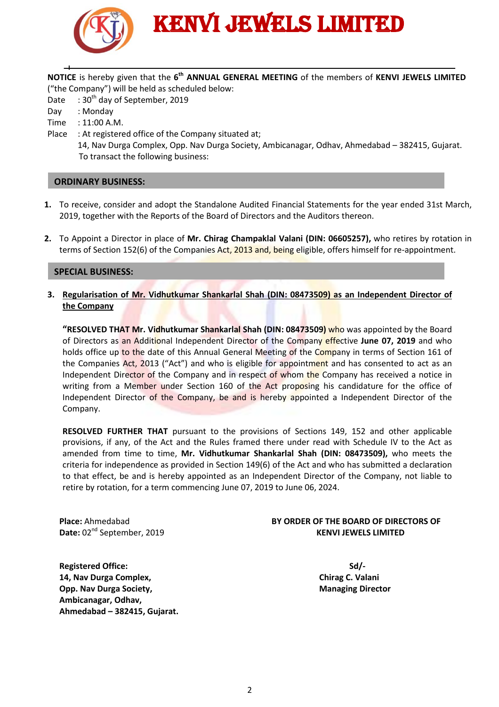

**NOTICE** is hereby given that the 6<sup>th</sup> ANNUAL GENERAL MEETING of the members of KENVI JEWELS LIMITED ("the Company") will be held as scheduled below:

Date  $\therefore$  30<sup>th</sup> day of September, 2019

Day : Monday

 $\rightarrow$ 

Time : 11:00 A.M.

Place : At registered office of the Company situated at;

14, Nav Durga Complex, Opp. Nav Durga Society, Ambicanagar, Odhav, Ahmedabad – 382415, Gujarat. To transact the following business:

#### **ORDINARY BUSINESS:**

- **1.** To receive, consider and adopt the Standalone Audited Financial Statements for the year ended 31st March, 2019, together with the Reports of the Board of Directors and the Auditors thereon.
- **2.** To Appoint a Director in place of **Mr. Chirag Champaklal Valani (DIN: [06605257\)](http://www.mca.gov.in/mcafoportal/companyLLPMasterData.do),** who retires by rotation in terms of Section 152(6) of the Companies Act, 2013 and, being eligible, offers himself for re-appointment.

#### **SPECIAL BUSINESS:**

**3. Regularisation of Mr. Vidhutkumar Shankarlal Shah (DIN: 08473509) as an Independent Director of the Company**

**"RESOLVED THAT Mr. Vidhutkumar Shankarlal Shah (DIN: 08473509)** who was appointed by the Board of Directors as an Additional Independent Director of the Company effective **June 07, 2019** and who holds office up to the date of this Annual General Meeting of the Company in terms of Section 161 of the Companies Act, 2013 ("Act") and who is eligible for appointment and has consented to act as an Independent Director of the Company and in respect of whom the Company has received a notice in writing from a Member under Section 160 of the Act proposing his candidature for the office of Independent Director of the Company, be and is hereby appointed a Independent Director of the Company.

**RESOLVED FURTHER THAT** pursuant to the provisions of Sections 149, 152 and other applicable provisions, if any, of the Act and the Rules framed there under read with Schedule IV to the Act as amended from time to time, **Mr. Vidhutkumar Shankarlal Shah (DIN: 08473509),** who meets the criteria for independence as provided in Section 149(6) of the Act and who has submitted a declaration to that effect, be and is hereby appointed as an Independent Director of the Company, not liable to retire by rotation, for a term commencing June 07, 2019 to June 06, 2024.

#### **Place:** Ahmedabad **BY ORDER OF THE BOARD OF DIRECTORS OF Date:**  $02^{nd}$  September, 2019 **KENVI JEWELS LIMITED**

**Registered Office:** Sd/-**14, Nav Durga Complex, Chirag C. Valani Opp. Nav Durga Society, Naviolation Community Community Community Community Community Community Community Community Community Community Community Community Community Community Community Community Community Community Commu Ambicanagar, Odhav, Ahmedabad – 382415, Gujarat.**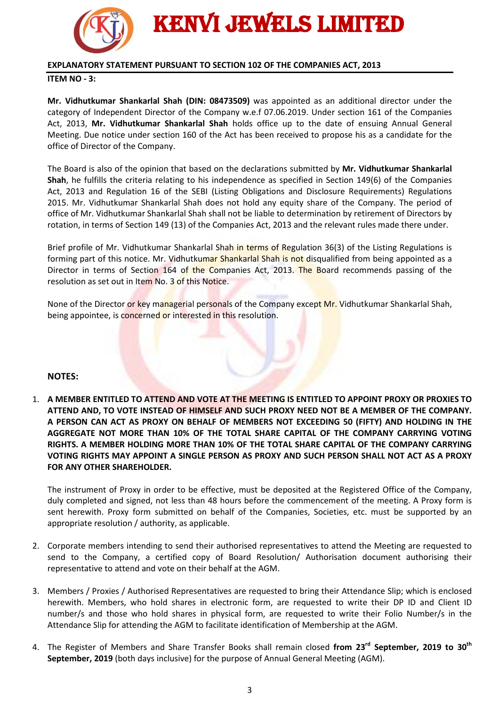

#### **EXPLANATORY STATEMENT PURSUANT TO SECTION 102 OF THE COMPANIES ACT, 2013**

#### **ITEM NO - 3:**

**Mr. Vidhutkumar Shankarlal Shah (DIN: 08473509)** was appointed as an additional director under the category of Independent Director of the Company w.e.f 07.06.2019. Under section 161 of the Companies Act, 2013, **Mr. Vidhutkumar Shankarlal Shah** holds office up to the date of ensuing Annual General Meeting. Due notice under section 160 of the Act has been received to propose his as a candidate for the office of Director of the Company.

The Board is also of the opinion that based on the declarations submitted by **Mr. Vidhutkumar Shankarlal Shah**, he fulfills the criteria relating to his independence as specified in Section 149(6) of the Companies Act, 2013 and Regulation 16 of the SEBI (Listing Obligations and Disclosure Requirements) Regulations 2015. Mr. Vidhutkumar Shankarlal Shah does not hold any equity share of the Company. The period of office of Mr. Vidhutkumar Shankarlal Shah shall not be liable to determination by retirement of Directors by rotation, in terms of Section 149 (13) of the Companies Act, 2013 and the relevant rules made there under.

Brief profile of Mr. Vidhutkumar Shankarlal Shah in terms of Regulation 36(3) of the Listing Regulations is forming part of this notice. Mr. Vidhutkumar Shankarlal Shah is not disqualified from being appointed as a Director in terms of Section 164 of the Companies Act, 2013. The Board recommends passing of the resolution as set out in Item No. 3 of this Notice.

None of the Director or key managerial personals of the Company except Mr. Vidhutkumar Shankarlal Shah, being appointee, is concerned or interested in this resolution.

#### **NOTES:**

1. **A MEMBER ENTITLED TO ATTEND AND VOTE AT THE MEETING IS ENTITLED TO APPOINT PROXY OR PROXIES TO ATTEND AND, TO VOTE INSTEAD OF HIMSELF AND SUCH PROXY NEED NOT BE A MEMBER OF THE COMPANY. A PERSON CAN ACT AS PROXY ON BEHALF OF MEMBERS NOT EXCEEDING 50 (FIFTY) AND HOLDING IN THE AGGREGATE NOT MORE THAN 10% OF THE TOTAL SHARE CAPITAL OF THE COMPANY CARRYING VOTING RIGHTS. A MEMBER HOLDING MORE THAN 10% OF THE TOTAL SHARE CAPITAL OF THE COMPANY CARRYING VOTING RIGHTS MAY APPOINT A SINGLE PERSON AS PROXY AND SUCH PERSON SHALL NOT ACT AS A PROXY FOR ANY OTHER SHAREHOLDER.**

The instrument of Proxy in order to be effective, must be deposited at the Registered Office of the Company, duly completed and signed, not less than 48 hours before the commencement of the meeting. A Proxy form is sent herewith. Proxy form submitted on behalf of the Companies, Societies, etc. must be supported by an appropriate resolution / authority, as applicable.

- 2. Corporate members intending to send their authorised representatives to attend the Meeting are requested to send to the Company, a certified copy of Board Resolution/ Authorisation document authorising their representative to attend and vote on their behalf at the AGM.
- 3. Members / Proxies / Authorised Representatives are requested to bring their Attendance Slip; which is enclosed herewith. Members, who hold shares in electronic form, are requested to write their DP ID and Client ID number/s and those who hold shares in physical form, are requested to write their Folio Number/s in the Attendance Slip for attending the AGM to facilitate identification of Membership at the AGM.
- 4. The Register of Members and Share Transfer Books shall remain closed **from 23rd September, 2019 to 30th September, 2019** (both days inclusive) for the purpose of Annual General Meeting (AGM).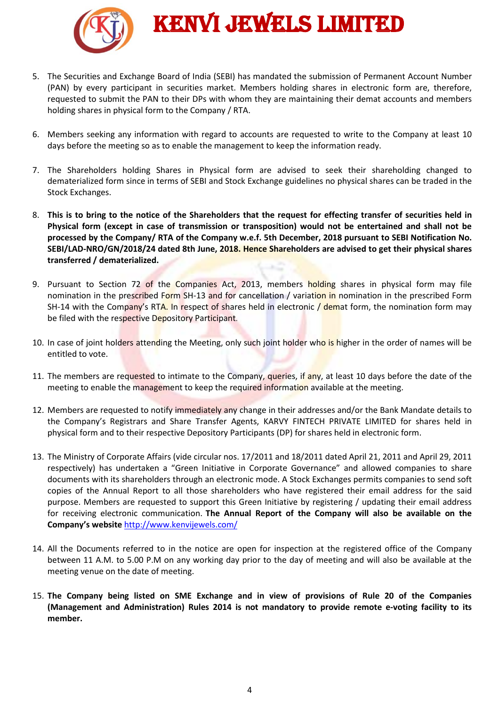

- 5. The Securities and Exchange Board of India (SEBI) has mandated the submission of Permanent Account Number (PAN) by every participant in securities market. Members holding shares in electronic form are, therefore, requested to submit the PAN to their DPs with whom they are maintaining their demat accounts and members holding shares in physical form to the Company / RTA.
- 6. Members seeking any information with regard to accounts are requested to write to the Company at least 10 days before the meeting so as to enable the management to keep the information ready.
- 7. The Shareholders holding Shares in Physical form are advised to seek their shareholding changed to dematerialized form since in terms of SEBI and Stock Exchange guidelines no physical shares can be traded in the Stock Exchanges.
- 8. **This is to bring to the notice of the Shareholders that the request for effecting transfer of securities held in Physical form (except in case of transmission or transposition) would not be entertained and shall not be processed by the Company/ RTA of the Company w.e.f. 5th December, 2018 pursuant to SEBI Notification No. SEBI/LAD-NRO/GN/2018/24 dated 8th June, 2018. Hence Shareholders are advised to get their physical shares transferred / dematerialized.**
- 9. Pursuant to Section 72 of the Companies Act, 2013, members holding shares in physical form may file nomination in the prescribed Form SH-13 and for cancellation / variation in nomination in the prescribed Form SH-14 with the Company's RTA. In respect of shares held in electronic / demat form, the nomination form may be filed with the respective Depository Participant.
- 10. In case of joint holders attending the Meeting, only such joint holder who is higher in the order of names will be entitled to vote.
- 11. The members are requested to intimate to the Company, queries, if any, at least 10 days before the date of the meeting to enable the management to keep the required information available at the meeting.
- 12. Members are requested to notify immediately any change in their addresses and/or the Bank Mandate details to the Company's Registrars and Share Transfer Agents, KARVY FINTECH PRIVATE LIMITED for shares held in physical form and to their respective Depository Participants (DP) for shares held in electronic form.
- 13. The Ministry of Corporate Affairs (vide circular nos. 17/2011 and 18/2011 dated April 21, 2011 and April 29, 2011 respectively) has undertaken a "Green Initiative in Corporate Governance" and allowed companies to share documents with its shareholders through an electronic mode. A Stock Exchanges permits companies to send soft copies of the Annual Report to all those shareholders who have registered their email address for the said purpose. Members are requested to support this Green Initiative by registering / updating their email address for receiving electronic communication. **The Annual Report of the Company will also be available on the Company's website** <http://www.kenvijewels.com/>
- 14. All the Documents referred to in the notice are open for inspection at the registered office of the Company between 11 A.M. to 5.00 P.M on any working day prior to the day of meeting and will also be available at the meeting venue on the date of meeting.
- 15. **The Company being listed on SME Exchange and in view of provisions of Rule 20 of the Companies (Management and Administration) Rules 2014 is not mandatory to provide remote e-voting facility to its member.**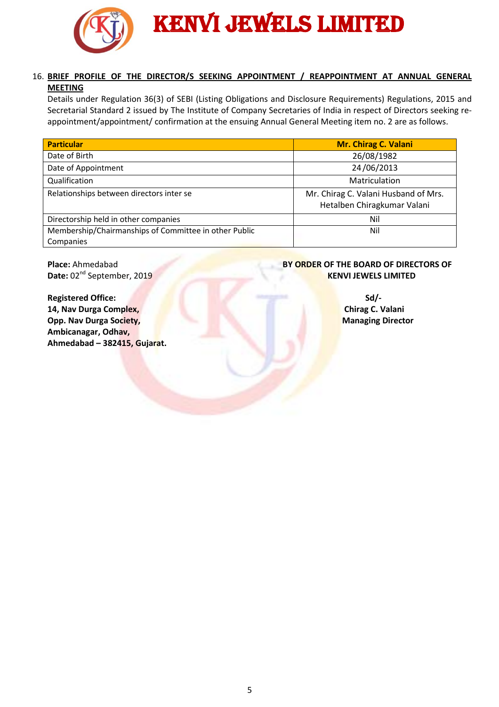

#### 16. **BRIEF PROFILE OF THE DIRECTOR/S SEEKING APPOINTMENT / REAPPOINTMENT AT ANNUAL GENERAL MEETING**

Details under Regulation 36(3) of SEBI (Listing Obligations and Disclosure Requirements) Regulations, 2015 and Secretarial Standard 2 issued by The Institute of Company Secretaries of India in respect of Directors seeking reappointment/appointment/ confirmation at the ensuing Annual General Meeting item no. 2 are as follows.

| <b>Particular</b>                                     | Mr. Chirag C. Valani                                                |
|-------------------------------------------------------|---------------------------------------------------------------------|
| Date of Birth                                         | 26/08/1982                                                          |
| Date of Appointment                                   | 24/06/2013                                                          |
| Qualification                                         | <b>Matriculation</b>                                                |
| Relationships between directors inter se              | Mr. Chirag C. Valani Husband of Mrs.<br>Hetalben Chiragkumar Valani |
| Directorship held in other companies                  | Nil                                                                 |
| Membership/Chairmanships of Committee in other Public | Nil                                                                 |
| Companies                                             |                                                                     |

**Registered Office:** Sd/-**14, Nav Durga Complex, Nav Durga Complex, Nav Durga C. Valani Opp. Nav Durga Society, Nav Durga Society, Nav Durga Society, Nav Durga Society, Nav Durga Society, Nav Durga Society, Nav Durga Society, Nav Durga Society, Nav Durga Society, Nav Durga Society, Nav Durga Society, Nav Dur Ambicanagar, Odhav, Ahmedabad – 382415, Gujarat.** 

#### **Place: Ahmedabad BY ORDER OF THE BOARD OF DIRECTORS OF Date:** 02<sup>nd</sup> September, 2019 **KENVI JEWELS LIMITED**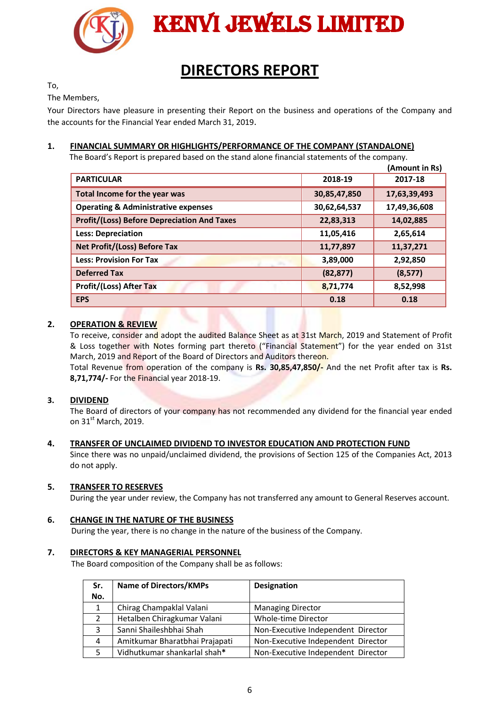

### **DIRECTORS REPORT**

To,

#### The Members,

Your Directors have pleasure in presenting their Report on the business and operations of the Company and the accounts for the Financial Year ended March 31, 2019.

#### **1. FINANCIAL SUMMARY OR HIGHLIGHTS/PERFORMANCE OF THE COMPANY (STANDALONE)**

The Board's Report is prepared based on the stand alone financial statements of the company.

|                                                    |              | (Amount in Rs) |
|----------------------------------------------------|--------------|----------------|
| <b>PARTICULAR</b>                                  | 2018-19      | 2017-18        |
| Total Income for the year was                      | 30,85,47,850 | 17,63,39,493   |
| <b>Operating &amp; Administrative expenses</b>     | 30,62,64,537 | 17,49,36,608   |
| <b>Profit/(Loss) Before Depreciation And Taxes</b> | 22,83,313    | 14,02,885      |
| <b>Less: Depreciation</b>                          | 11,05,416    | 2,65,614       |
| Net Profit/(Loss) Before Tax                       | 11,77,897    | 11,37,271      |
| <b>Less: Provision For Tax</b><br><b>STAR</b>      | 3,89,000     | 2,92,850       |
| <b>Deferred Tax</b>                                | (82, 877)    | (8, 577)       |
| <b>Profit/(Loss) After Tax</b>                     | 8,71,774     | 8,52,998       |
| <b>EPS</b>                                         | 0.18         | 0.18           |
|                                                    |              |                |

#### **2. OPERATION & REVIEW**

To receive, consider and adopt the audited Balance Sheet as at 31st March, 2019 and Statement of Profit & Loss together with Notes forming part thereto ("Financial Statement") for the year ended on 31st March, 2019 and Report of the Board of Directors and Auditors thereon.

Total Revenue from operation of the company is **Rs. 30,85,47,850/-** And the net Profit after tax is **Rs. 8,71,774/-** For the Financial year 2018-19.

#### **3. DIVIDEND**

The Board of directors of your company has not recommended any dividend for the financial year ended on 31<sup>st</sup> March, 2019.

#### **4. TRANSFER OF UNCLAIMED DIVIDEND TO INVESTOR EDUCATION AND PROTECTION FUND**

Since there was no unpaid/unclaimed dividend, the provisions of Section 125 of the Companies Act, 2013 do not apply.

#### **5. TRANSFER TO RESERVES**

During the year under review, the Company has not transferred any amount to General Reserves account.

#### **6. CHANGE IN THE NATURE OF THE BUSINESS**

During the year, there is no change in the nature of the business of the Company.

#### **7. DIRECTORS & KEY MANAGERIAL PERSONNEL**

The Board composition of the Company shall be as follows:

| Sr. | <b>Name of Directors/KMPs</b>  | <b>Designation</b>                 |
|-----|--------------------------------|------------------------------------|
| No. |                                |                                    |
| 1   | Chirag Champaklal Valani       | <b>Managing Director</b>           |
| 2   | Hetalben Chiragkumar Valani    | Whole-time Director                |
| 3   | Sanni Shaileshbhai Shah        | Non-Executive Independent Director |
| 4   | Amitkumar Bharatbhai Prajapati | Non-Executive Independent Director |
| 5   | Vidhutkumar shankarlal shah*   | Non-Executive Independent Director |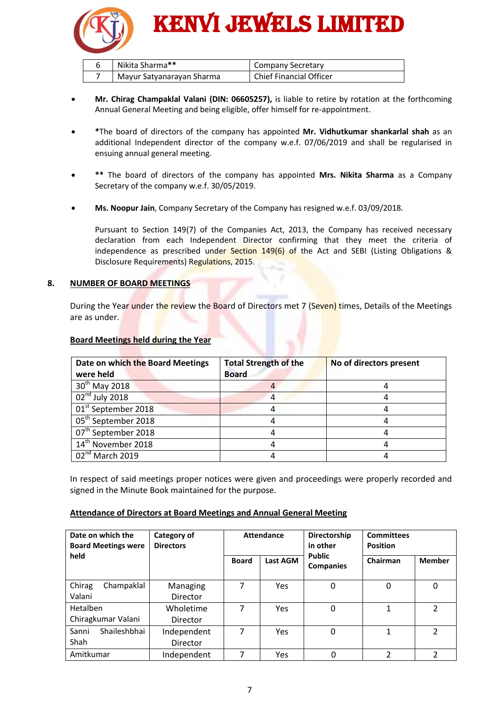

| Nikita Sharma**           | Company Secretary              |
|---------------------------|--------------------------------|
| Mayur Satyanarayan Sharma | <b>Chief Financial Officer</b> |

- **Mr. Chirag Champaklal Valani (DIN: 06605257),** is liable to retire by rotation at the forthcoming Annual General Meeting and being eligible, offer himself for re-appointment.
- **\***The board of directors of the company has appointed **Mr. Vidhutkumar shankarlal shah** as an additional Independent director of the company w.e.f. 07/06/2019 and shall be regularised in ensuing annual general meeting.
- **\*\*** The board of directors of the company has appointed **Mrs. Nikita Sharma** as a Company Secretary of the company w.e.f. 30/05/2019.
- **Ms. Noopur Jain**, Company Secretary of the Company has resigned w.e.f. 03/09/2018.

Pursuant to Section 149(7) of the Companies Act, 2013, the Company has received necessary declaration from each Independent Director confirming that they meet the criteria of independence as prescribed under Section 149(6) of the Act and SEBI (Listing Obligations & Disclosure Requirements) Regulations, 2015.

#### **8. NUMBER OF BOARD MEETINGS**

During the Year under the review the Board of Directors met 7 (Seven) times, Details of the Meetings are as under.

| Date on which the Board Meetings<br>were held | <b>Total Strength of the</b><br><b>Board</b> | No of directors present |
|-----------------------------------------------|----------------------------------------------|-------------------------|
|                                               |                                              |                         |
| 30 <sup>th</sup> May 2018                     |                                              |                         |
| $02nd$ July 2018                              | 4                                            |                         |
| 01st September 2018                           |                                              |                         |
| 05 <sup>th</sup> September 2018               |                                              |                         |
| 07 <sup>th</sup> September 2018               |                                              |                         |
| 14 <sup>th</sup> November 2018                |                                              |                         |
| $02nd$ March 2019                             |                                              |                         |

#### **Board Meetings held during the Year**

In respect of said meetings proper notices were given and proceedings were properly recorded and signed in the Minute Book maintained for the purpose.

#### **Attendance of Directors at Board Meetings and Annual General Meeting**

| Date on which the<br><b>Board Meetings were</b> | Category of<br><b>Directors</b> |              | <b>Attendance</b> | Directorship<br>in other          | <b>Committees</b><br><b>Position</b> |               |  |
|-------------------------------------------------|---------------------------------|--------------|-------------------|-----------------------------------|--------------------------------------|---------------|--|
| held                                            |                                 | <b>Board</b> | Last AGM          | <b>Public</b><br><b>Companies</b> | Chairman                             | <b>Member</b> |  |
| Chirag<br>Champaklal<br>Valani                  | Managing<br>Director            | 7            | Yes               | 0                                 | 0                                    | 0             |  |
| Hetalben<br>Chiragkumar Valani                  | Wholetime<br>Director           | 7            | Yes               | 0                                 | 1                                    | 2             |  |
| Shaileshbhai<br>Sanni<br>Shah                   | Independent<br>Director         | 7            | Yes               | 0                                 | 1                                    | 2             |  |
| Amitkumar                                       | Independent                     | 7            | Yes               | 0                                 | 2                                    | 2             |  |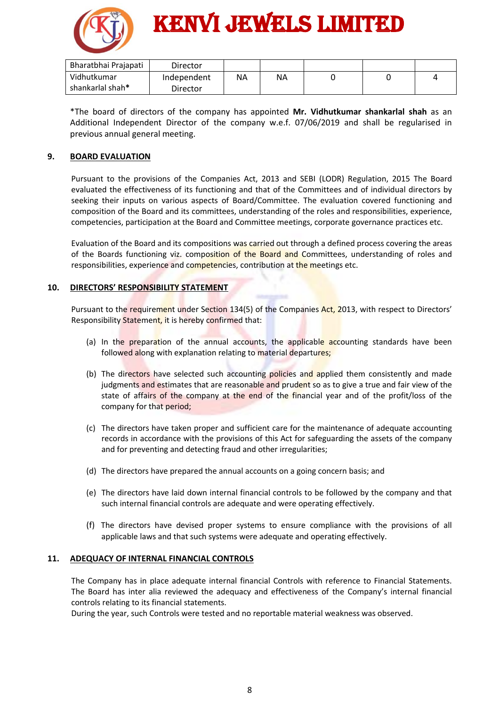

| Bharatbhai Prajapati | Director    |    |    |  |  |
|----------------------|-------------|----|----|--|--|
| Vidhutkumar          | Independent | NА | ΝA |  |  |
| shankarlal shah*     | Director    |    |    |  |  |

\*The board of directors of the company has appointed **Mr. Vidhutkumar shankarlal shah** as an Additional Independent Director of the company w.e.f. 07/06/2019 and shall be regularised in previous annual general meeting.

#### **9. BOARD EVALUATION**

Pursuant to the provisions of the Companies Act, 2013 and SEBI (LODR) Regulation, 2015 The Board evaluated the effectiveness of its functioning and that of the Committees and of individual directors by seeking their inputs on various aspects of Board/Committee. The evaluation covered functioning and composition of the Board and its committees, understanding of the roles and responsibilities, experience, competencies, participation at the Board and Committee meetings, corporate governance practices etc.

Evaluation of the Board and its compositions was carried out through a defined process covering the areas of the Boards functioning viz. composition of the Board and Committees, understanding of roles and responsibilities, experience and competencies, contribution at the meetings etc.

#### **10. DIRECTORS' RESPONSIBILITY STATEMENT**

Pursuant to the requirement under Section 134(5) of the Companies Act, 2013, with respect to Directors' Responsibility Statement, it is hereby confirmed that:

- (a) In the preparation of the annual accounts, the applicable accounting standards have been followed along with explanation relating to material departures;
- (b) The directors have selected such accounting policies and applied them consistently and made judgments and estimates that are reasonable and prudent so as to give a true and fair view of the state of affairs of the company at the end of the financial year and of the profit/loss of the company for that period;
- (c) The directors have taken proper and sufficient care for the maintenance of adequate accounting records in accordance with the provisions of this Act for safeguarding the assets of the company and for preventing and detecting fraud and other irregularities;
- (d) The directors have prepared the annual accounts on a going concern basis; and
- (e) The directors have laid down internal financial controls to be followed by the company and that such internal financial controls are adequate and were operating effectively.
- (f) The directors have devised proper systems to ensure compliance with the provisions of all applicable laws and that such systems were adequate and operating effectively.

#### **11. ADEQUACY OF INTERNAL FINANCIAL CONTROLS**

The Company has in place adequate internal financial Controls with reference to Financial Statements. The Board has inter alia reviewed the adequacy and effectiveness of the Company's internal financial controls relating to its financial statements.

During the year, such Controls were tested and no reportable material weakness was observed.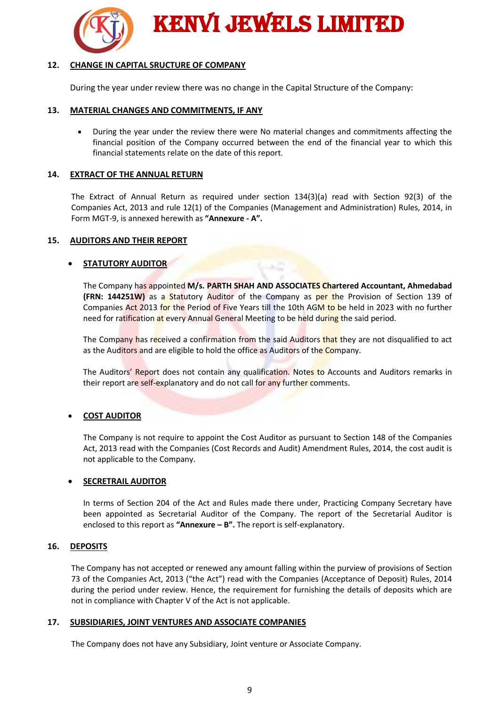

#### **12. CHANGE IN CAPITAL SRUCTURE OF COMPANY**

During the year under review there was no change in the Capital Structure of the Company:

#### **13. MATERIAL CHANGES AND COMMITMENTS, IF ANY**

• During the year under the review there were No material changes and commitments affecting the financial position of the Company occurred between the end of the financial year to which this financial statements relate on the date of this report.

#### **14. EXTRACT OF THE ANNUAL RETURN**

The Extract of Annual Return as required under section 134(3)(a) read with Section 92(3) of the Companies Act, 2013 and rule 12(1) of the Companies (Management and Administration) Rules, 2014, in Form MGT-9, is annexed herewith as **"Annexure - A".**

#### **15. AUDITORS AND THEIR REPORT**

#### • **STATUTORY AUDITOR**

The Company has appointed **M/s. PARTH SHAH AND ASSOCIATES Chartered Accountant, Ahmedabad (FRN: 144251W)** as a Statutory Auditor of the Company as per the Provision of Section 139 of Companies Act 2013 for the Period of Five Years till the 10th AGM to be held in 2023 with no further need for ratification at every Annual General Meeting to be held during the said period.

The Company has received a confirmation from the said Auditors that they are not disqualified to act as the Auditors and are eligible to hold the office as Auditors of the Company.

The Auditors' Report does not contain any qualification. Notes to Accounts and Auditors remarks in their report are self-explanatory and do not call for any further comments.

#### • **COST AUDITOR**

The Company is not require to appoint the Cost Auditor as pursuant to Section 148 of the Companies Act, 2013 read with the Companies (Cost Records and Audit) Amendment Rules, 2014, the cost audit is not applicable to the Company.

#### • **SECRETRAIL AUDITOR**

In terms of Section 204 of the Act and Rules made there under, Practicing Company Secretary have been appointed as Secretarial Auditor of the Company. The report of the Secretarial Auditor is enclosed to this report as **"Annexure – B".** The report is self-explanatory.

#### **16. DEPOSITS**

The Company has not accepted or renewed any amount falling within the purview of provisions of Section 73 of the Companies Act, 2013 ("the Act") read with the Companies (Acceptance of Deposit) Rules, 2014 during the period under review. Hence, the requirement for furnishing the details of deposits which are not in compliance with Chapter V of the Act is not applicable.

#### **17. SUBSIDIARIES, JOINT VENTURES AND ASSOCIATE COMPANIES**

The Company does not have any Subsidiary, Joint venture or Associate Company.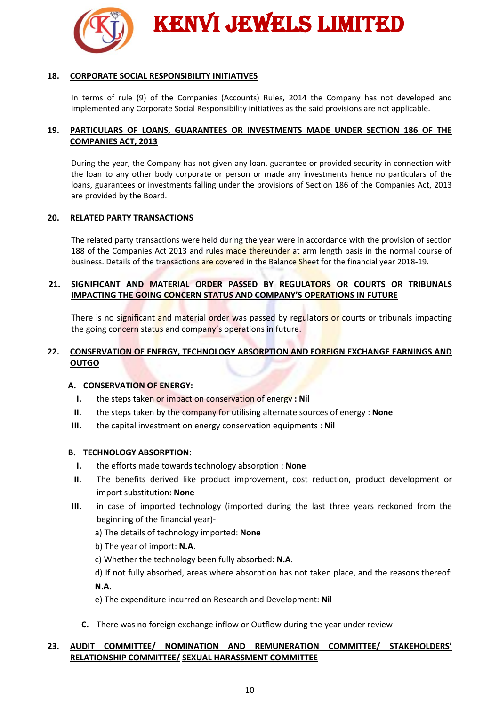

#### **18. CORPORATE SOCIAL RESPONSIBILITY INITIATIVES**

In terms of rule (9) of the Companies (Accounts) Rules, 2014 the Company has not developed and implemented any Corporate Social Responsibility initiatives as the said provisions are not applicable.

#### **19. PARTICULARS OF LOANS, GUARANTEES OR INVESTMENTS MADE UNDER SECTION 186 OF THE COMPANIES ACT, 2013**

During the year, the Company has not given any loan, guarantee or provided security in connection with the loan to any other body corporate or person or made any investments hence no particulars of the loans, guarantees or investments falling under the provisions of Section 186 of the Companies Act, 2013 are provided by the Board.

#### **20. RELATED PARTY TRANSACTIONS**

The related party transactions were held during the year were in accordance with the provision of section 188 of the Companies Act 2013 and rules made thereunder at arm length basis in the normal course of business. Details of the transactions are covered in the Balance Sheet for the financial year 2018-19.

#### **21. SIGNIFICANT AND MATERIAL ORDER PASSED BY REGULATORS OR COURTS OR TRIBUNALS IMPACTING THE GOING CONCERN STATUS AND COMPANY'S OPERATIONS IN FUTURE**

There is no significant and material order was passed by regulators or courts or tribunals impacting the going concern status and company's operations in future.

#### **22. CONSERVATION OF ENERGY, TECHNOLOGY ABSORPTION AND FOREIGN EXCHANGE EARNINGS AND OUTGO**

#### **A. CONSERVATION OF ENERGY:**

- **I.** the steps taken or impact on conservation of energy **: Nil**
- **II.** the steps taken by the company for utilising alternate sources of energy : **None**
- **III.** the capital investment on energy conservation equipments : **Nil**

#### **B. TECHNOLOGY ABSORPTION:**

- **I.** the efforts made towards technology absorption : **None**
- **II.** The benefits derived like product improvement, cost reduction, product development or import substitution: **None**
- **III.** in case of imported technology (imported during the last three years reckoned from the beginning of the financial year)
	- a) The details of technology imported: **None**
	- b) The year of import: **N.A**.
	- c) Whether the technology been fully absorbed: **N.A**.

d) If not fully absorbed, areas where absorption has not taken place, and the reasons thereof: **N.A.**

e) The expenditure incurred on Research and Development: **Nil**

**C.** There was no foreign exchange inflow or Outflow during the year under review

#### **23. AUDIT COMMITTEE/ NOMINATION AND REMUNERATION COMMITTEE/ STAKEHOLDERS' RELATIONSHIP COMMITTEE/ SEXUAL HARASSMENT COMMITTEE**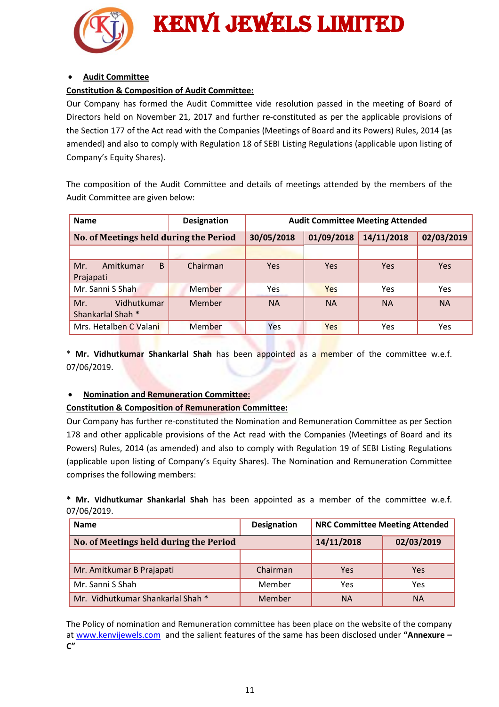

#### • **Audit Committee**

#### **Constitution & Composition of Audit Committee:**

Our Company has formed the Audit Committee vide resolution passed in the meeting of Board of Directors held on November 21, 2017 and further re-constituted as per the applicable provisions of the Section 177 of the Act read with the Companies (Meetings of Board and its Powers) Rules, 2014 (as amended) and also to comply with Regulation 18 of SEBI Listing Regulations (applicable upon listing of Company's Equity Shares).

The composition of the Audit Committee and details of meetings attended by the members of the Audit Committee are given below:

| <b>Name</b>                                        | <b>Designation</b> |            |            | <b>Audit Committee Meeting Attended</b> |            |  |  |
|----------------------------------------------------|--------------------|------------|------------|-----------------------------------------|------------|--|--|
| No. of Meetings held during the Period             |                    | 30/05/2018 | 01/09/2018 | 14/11/2018                              | 02/03/2019 |  |  |
|                                                    |                    |            |            |                                         |            |  |  |
| Mr.<br>Amitkumar<br><sub>B</sub><br>Prajapati      | Chairman           | Yes        | Yes        | Yes                                     | Yes        |  |  |
| Mr. Sanni S Shah                                   | Member             | Yes        | Yes        | Yes                                     | Yes        |  |  |
| Vidhutkumar<br>Mr.<br>Shankarlal Shah <sup>*</sup> | Member             | <b>NA</b>  | <b>NA</b>  | <b>NA</b>                               | <b>NA</b>  |  |  |
| Mrs. Hetalben C Valani                             | Member             | Yes        | Yes        | Yes                                     | Yes        |  |  |

\* **Mr. Vidhutkumar Shankarlal Shah** has been appointed as a member of the committee w.e.f. 07/06/2019.

#### • **Nomination and Remuneration Committee:**

#### **Constitution & Composition of Remuneration Committee:**

Our Company has further re-constituted the Nomination and Remuneration Committee as per Section 178 and other applicable provisions of the Act read with the Companies (Meetings of Board and its Powers) Rules, 2014 (as amended) and also to comply with Regulation 19 of SEBI Listing Regulations (applicable upon listing of Company's Equity Shares). The Nomination and Remuneration Committee comprises the following members:

|  | * Mr. Vidhutkumar Shankarlal Shah has been appointed as a member of the committee w.e.f. |  |  |  |  |  |  |
|--|------------------------------------------------------------------------------------------|--|--|--|--|--|--|
|  | 07/06/2019.                                                                              |  |  |  |  |  |  |

| <b>Name</b>                            | <b>Designation</b> | <b>NRC Committee Meeting Attended</b> |            |
|----------------------------------------|--------------------|---------------------------------------|------------|
| No. of Meetings held during the Period |                    | 14/11/2018                            | 02/03/2019 |
|                                        |                    |                                       |            |
| Mr. Amitkumar B Prajapati              | Chairman           | <b>Yes</b>                            | Yes        |
| Mr. Sanni S Shah                       | Member             | Yes                                   | Yes        |
| Mr. Vidhutkumar Shankarlal Shah *      | Member             | <b>NA</b>                             | ΝA         |

The Policy of nomination and Remuneration committee has been place on the website of the company at [www.kenvijewels.com](http://www.kenvijewels.com/) and the salient features of the same has been disclosed under **"Annexure – C"**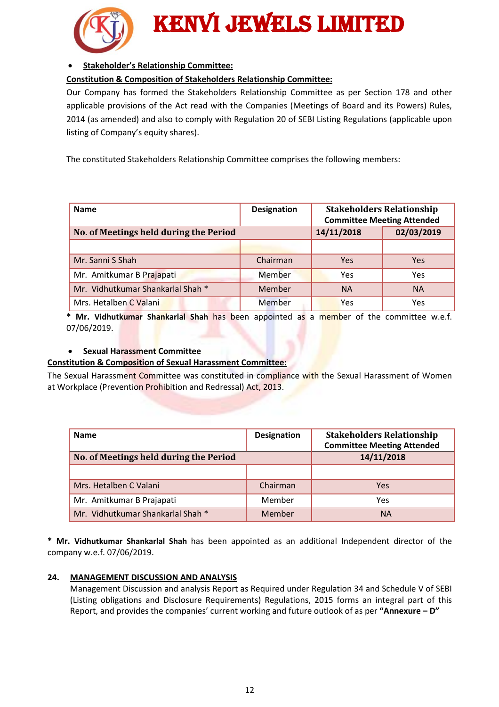

#### • **Stakeholder's Relationship Committee:**

#### **Constitution & Composition of Stakeholders Relationship Committee:**

Our Company has formed the Stakeholders Relationship Committee as per Section 178 and other applicable provisions of the Act read with the Companies (Meetings of Board and its Powers) Rules, 2014 (as amended) and also to comply with Regulation 20 of SEBI Listing Regulations (applicable upon listing of Company's equity shares).

The constituted Stakeholders Relationship Committee comprises the following members:

| <b>Name</b>                            | <b>Designation</b> | <b>Stakeholders Relationship</b><br><b>Committee Meeting Attended</b> |            |  |
|----------------------------------------|--------------------|-----------------------------------------------------------------------|------------|--|
| No. of Meetings held during the Period |                    | 14/11/2018                                                            | 02/03/2019 |  |
|                                        |                    |                                                                       |            |  |
| Mr. Sanni S Shah                       | Chairman           | Yes                                                                   | Yes        |  |
| Mr. Amitkumar B Prajapati              | Member             | Yes                                                                   | Yes        |  |
| Mr. Vidhutkumar Shankarlal Shah *      | Member             | <b>NA</b>                                                             | <b>NA</b>  |  |
| Mrs. Hetalben C Valani                 | Member             | Yes                                                                   | Yes        |  |

**\* Mr. Vidhutkumar Shankarlal Shah** has been appointed as a member of the committee w.e.f. 07/06/2019.

#### • **Sexual Harassment Committee**

#### **Constitution & Composition of Sexual Harassment Committee:**

The Sexual Harassment Committee was constituted in compliance with the Sexual Harassment of Women at Workplace (Prevention Prohibition and Redressal) Act, 2013.

| <b>Name</b>                                  | <b>Designation</b> | <b>Stakeholders Relationship</b><br><b>Committee Meeting Attended</b> |
|----------------------------------------------|--------------------|-----------------------------------------------------------------------|
| No. of Meetings held during the Period       |                    | 14/11/2018                                                            |
|                                              |                    |                                                                       |
| Mrs. Hetalben C Valani                       | Chairman           | Yes                                                                   |
| Mr. Amitkumar B Prajapati                    | Member             | Yes                                                                   |
| Mr. Vidhutkumar Shankarlal Shah <sup>*</sup> | Member             | <b>NA</b>                                                             |

**\* Mr. Vidhutkumar Shankarlal Shah** has been appointed as an additional Independent director of the company w.e.f. 07/06/2019.

#### **24. MANAGEMENT DISCUSSION AND ANALYSIS**

Management Discussion and analysis Report as Required under Regulation 34 and Schedule V of SEBI (Listing obligations and Disclosure Requirements) Regulations, 2015 forms an integral part of this Report, and provides the companies' current working and future outlook of as per **"Annexure – D"**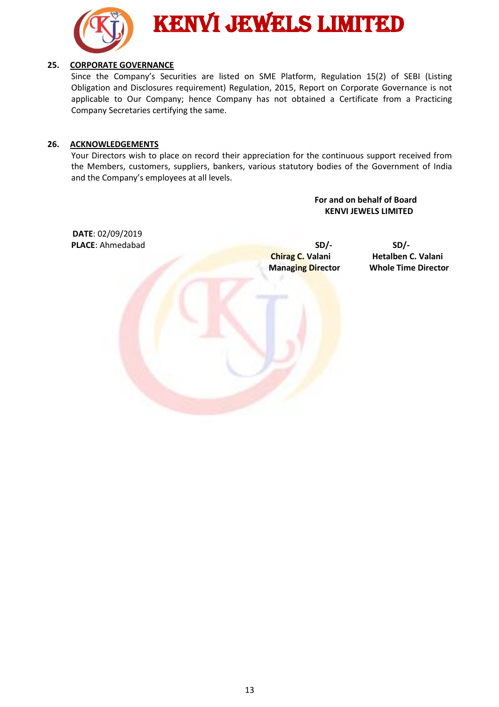

#### **25. CORPORATE GOVERNANCE**

Since the Company's Securities are listed on SME Platform, Regulation 15(2) of SEBI (Listing Obligation and Disclosures requirement) Regulation, 2015, Report on Corporate Governance is not applicable to Our Company; hence Company has not obtained a Certificate from a Practicing Company Secretaries certifying the same.

#### **26. ACKNOWLEDGEMENTS**

Your Directors wish to place on record their appreciation for the continuous support received from the Members, customers, suppliers, bankers, various statutory bodies of the Government of India and the Company's employees at all levels.

> **For and on behalf of Board KENVI JEWELS LIMITED**

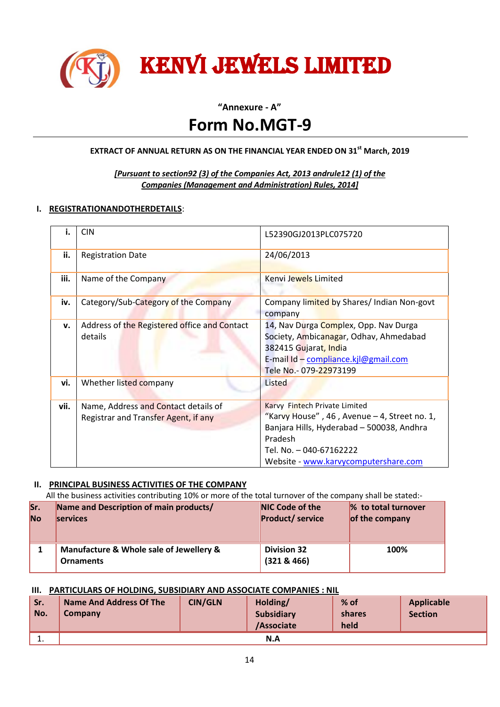

**"Annexure - A"**

### **Form No.MGT-9**

#### **EXTRACT OF ANNUAL RETURN AS ON THE FINANCIAL YEAR ENDED ON 31st March, 2019**

#### *[Pursuant to section92 (3) of the Companies Act, 2013 andrule12 (1) of the Companies (Management and Administration) Rules, 2014]*

#### **I. REGISTRATIONANDOTHERDETAILS**:

|      | <b>CIN</b>                                                                   | L52390GJ2013PLC075720                                                                                                                                                                                    |
|------|------------------------------------------------------------------------------|----------------------------------------------------------------------------------------------------------------------------------------------------------------------------------------------------------|
| ii.  | <b>Registration Date</b>                                                     | 24/06/2013                                                                                                                                                                                               |
| iii. | Name of the Company                                                          | <b>Kenvi Jewels Limited</b>                                                                                                                                                                              |
| iv.  | Category/Sub-Category of the Company                                         | Company limited by Shares/ Indian Non-govt<br>company                                                                                                                                                    |
| v.   | Address of the Registered office and Contact<br>details                      | 14, Nav Durga Complex, Opp. Nav Durga<br>Society, Ambicanagar, Odhav, Ahmedabad<br>382415 Gujarat, India<br>E-mail Id - compliance.kjl@gmail.com<br>Tele No.- 079-22973199                               |
| vi.  | Whether listed company                                                       | Listed                                                                                                                                                                                                   |
| vii. | Name, Address and Contact details of<br>Registrar and Transfer Agent, if any | Karvy Fintech Private Limited<br>"Karvy House", 46, Avenue - 4, Street no. 1,<br>Banjara Hills, Hyderabad - 500038, Andhra<br>Pradesh<br>Tel. No. - 040-67162222<br>Website - www.karvycomputershare.com |

#### **II. PRINCIPAL BUSINESS ACTIVITIES OF THE COMPANY**

All the business activities contributing 10% or more of the total turnover of the company shall be stated:-

| lsr.      | Name and Description of main products/                      | NIC Code of the                   | % to total turnover |
|-----------|-------------------------------------------------------------|-----------------------------------|---------------------|
| <b>No</b> | <b>services</b>                                             | <b>Product/ service</b>           | of the company      |
|           | Manufacture & Whole sale of Jewellery &<br><b>Ornaments</b> | <b>Division 32</b><br>(321 & 466) | 100%                |

#### **III. PARTICULARS OF HOLDING, SUBSIDIARY AND ASSOCIATE COMPANIES : NIL**

| Sr.<br>No. | <b>Name And Address Of The</b><br>Company | <b>CIN/GLN</b> | Holding/<br><b>Subsidiary</b><br>/Associate | $%$ of<br>shares<br>held | Applicable<br><b>Section</b> |  |  |
|------------|-------------------------------------------|----------------|---------------------------------------------|--------------------------|------------------------------|--|--|
| ᅩ          | N.A                                       |                |                                             |                          |                              |  |  |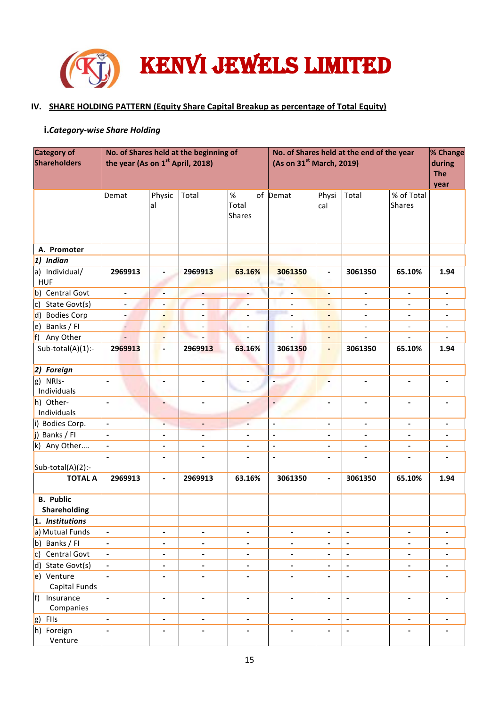

#### **IV. SHARE HOLDING PATTERN (Equity Share Capital Breakup as percentage of Total Equity)**

#### **i.***Category-wise Share Holding*

| <b>Category of</b><br><b>Shareholders</b> | the year (As on 1 <sup>st</sup> April, 2018) |                              | No. of Shares held at the beginning of |                                | No. of Shares held at the end of the year<br>(As on 31 <sup>st</sup> March, 2019) |                              |                          |                              | % Change<br>during<br><b>The</b><br>year |
|-------------------------------------------|----------------------------------------------|------------------------------|----------------------------------------|--------------------------------|-----------------------------------------------------------------------------------|------------------------------|--------------------------|------------------------------|------------------------------------------|
|                                           | Demat                                        | Physic<br>al                 | Total                                  | $\%$<br>Total<br><b>Shares</b> | of Demat                                                                          | Physi<br>cal                 | Total                    | % of Total<br><b>Shares</b>  |                                          |
| A. Promoter                               |                                              |                              |                                        |                                |                                                                                   |                              |                          |                              |                                          |
| 1) Indian                                 |                                              |                              |                                        |                                |                                                                                   |                              |                          |                              |                                          |
| a) Individual/<br><b>HUF</b>              | 2969913                                      | $\overline{\phantom{a}}$     | 2969913                                | 63.16%                         | 3061350                                                                           | $\overline{\phantom{a}}$     | 3061350                  | 65.10%                       | 1.94                                     |
| b) Central Govt                           | $\overline{\phantom{a}}$                     | $\overline{\phantom{a}}$     |                                        | ۰.                             | ä.<br>$\overline{\phantom{a}}$                                                    | $\overline{\phantom{0}}$     | $\overline{\phantom{a}}$ | $\overline{\phantom{a}}$     | $\overline{\phantom{0}}$                 |
| c) State Govt(s)                          | $\qquad \qquad -$                            | $\qquad \qquad \blacksquare$ | $\overline{\phantom{0}}$               | $\overline{\phantom{a}}$       |                                                                                   | $\overline{\phantom{a}}$     |                          | $\overline{\phantom{a}}$     |                                          |
| d) Bodies Corp                            | $\overline{\phantom{a}}$                     | $\overline{\phantom{a}}$     | $\overline{\phantom{0}}$               |                                | $\overline{a}$                                                                    | $\overline{\phantom{a}}$     |                          |                              |                                          |
| e) Banks / FI                             | L,                                           | $\overline{\phantom{a}}$     |                                        | $\overline{\phantom{a}}$       | $\overline{\phantom{0}}$                                                          | $\overline{\phantom{a}}$     |                          | $\overline{\phantom{a}}$     | $\qquad \qquad \blacksquare$             |
| Any Other<br> f                           | $\qquad \qquad -$                            | $\overline{\phantom{a}}$     | $\overline{a}$                         | $\overline{\phantom{a}}$       | $\overline{\phantom{0}}$                                                          | $\qquad \qquad \blacksquare$ |                          | $\frac{1}{2}$                |                                          |
| Sub-total(A) $(1)$ :-                     | 2969913                                      | $\overline{\phantom{a}}$     | 2969913                                | 63.16%                         | 3061350                                                                           | $\overline{\phantom{a}}$     | 3061350                  | 65.10%                       | 1.94                                     |
| 2) Foreign                                |                                              |                              |                                        |                                |                                                                                   |                              |                          |                              |                                          |
| g) NRIs-                                  | $\qquad \qquad \blacksquare$                 |                              |                                        |                                |                                                                                   | $\overline{\phantom{0}}$     |                          |                              |                                          |
| Individuals                               |                                              |                              |                                        |                                |                                                                                   |                              |                          |                              |                                          |
| h) Other-<br>Individuals                  | $\overline{\phantom{0}}$                     | -                            | $\overline{\phantom{0}}$               | -                              | $\overline{\phantom{a}}$                                                          | $\blacksquare$               | $\overline{\phantom{0}}$ | $\qquad \qquad \blacksquare$ | $\qquad \qquad \blacksquare$             |
| i) Bodies Corp.                           | $\blacksquare$                               | $\overline{\phantom{a}}$     | $\overline{\phantom{0}}$               | $\overline{\phantom{a}}$       | $\overline{\phantom{a}}$                                                          | $\blacksquare$               | ۰                        | $\overline{\phantom{0}}$     | ۰                                        |
| j) Banks / FI                             | $\overline{\phantom{a}}$                     | $\overline{\phantom{a}}$     | $\overline{a}$                         | $\overline{\phantom{a}}$       | $\blacksquare$                                                                    | $\overline{\phantom{0}}$     | $\overline{\phantom{0}}$ | $\overline{\phantom{0}}$     |                                          |
| k) Any Other                              | $\overline{\phantom{a}}$                     | $\overline{\phantom{a}}$     | $\overline{\phantom{0}}$               | $\overline{\phantom{a}}$       | $\overline{\phantom{a}}$                                                          | $\qquad \qquad \blacksquare$ | $\overline{\phantom{0}}$ | $\overline{\phantom{0}}$     | $\overline{\phantom{0}}$                 |
| Sub-total(A)(2):-                         | -                                            | $\overline{\phantom{a}}$     | $\overline{\phantom{0}}$               | $\blacksquare$                 | $\overline{\phantom{a}}$                                                          | $\overline{\phantom{a}}$     | $\overline{\phantom{0}}$ | $\overline{a}$               | $\qquad \qquad \blacksquare$             |
| <b>TOTAL A</b>                            | 2969913                                      | $\overline{\phantom{a}}$     | 2969913                                | 63.16%                         | 3061350                                                                           | $\overline{\phantom{a}}$     | 3061350                  | 65.10%                       | 1.94                                     |
| <b>B.</b> Public<br>Shareholding          |                                              |                              |                                        |                                |                                                                                   |                              |                          |                              |                                          |
| 1. Institutions                           |                                              |                              |                                        |                                |                                                                                   |                              |                          |                              |                                          |
| a) Mutual Funds                           | $\frac{1}{2}$                                | $\blacksquare$               | $\overline{\phantom{0}}$               | $\blacksquare$                 | $\overline{\phantom{0}}$                                                          | $\blacksquare$               | $\blacksquare$           | $\overline{a}$               | -                                        |
| b) Banks / FI                             | $\overline{\phantom{a}}$                     | $\qquad \qquad \blacksquare$ | $\qquad \qquad \blacksquare$           | $\overline{\phantom{a}}$       | $\qquad \qquad \blacksquare$                                                      | $\overline{a}$               | $\frac{1}{2}$            | $\qquad \qquad \blacksquare$ | -                                        |
| Central Govt<br>$ c\rangle$               | $\blacksquare$                               | $\blacksquare$               | $\overline{\phantom{a}}$               | $\overline{\phantom{a}}$       | $\blacksquare$                                                                    | $\overline{\phantom{a}}$     | $\blacksquare$           | $\blacksquare$               | $\overline{\phantom{0}}$                 |
| d) State Govt(s)                          | $\overline{\phantom{a}}$                     | $\overline{\phantom{a}}$     | $\overline{\phantom{a}}$               | $\overline{\phantom{a}}$       | $\overline{\phantom{0}}$                                                          | $\overline{\phantom{a}}$     | $\blacksquare$           | $\overline{\phantom{a}}$     | -                                        |
| e) Venture<br>Capital Funds               | $\overline{a}$                               | $\blacksquare$               | $\overline{\phantom{0}}$               | $\overline{\phantom{a}}$       | $\overline{\phantom{0}}$                                                          | $\overline{\phantom{a}}$     | $\frac{1}{2}$            |                              | -                                        |
| f)<br>Insurance<br>Companies              | $\qquad \qquad \blacksquare$                 |                              | $\overline{\phantom{0}}$               | $\blacksquare$                 | -                                                                                 | $\overline{\phantom{a}}$     | $\overline{\phantom{a}}$ | -                            | -                                        |
| FIIs<br> g                                | $\overline{\phantom{a}}$                     | $\overline{\phantom{a}}$     | $\overline{\phantom{a}}$               | $\blacksquare$                 | $\overline{\phantom{0}}$                                                          | $\blacksquare$               | $\blacksquare$           | -                            | $\qquad \qquad \blacksquare$             |
| h) Foreign<br>Venture                     | $\overline{\phantom{0}}$                     | $\overline{\phantom{a}}$     | $\overline{\phantom{0}}$               | $\overline{\phantom{a}}$       |                                                                                   | $\blacksquare$               | $\frac{1}{2}$            |                              | $\overline{\phantom{0}}$                 |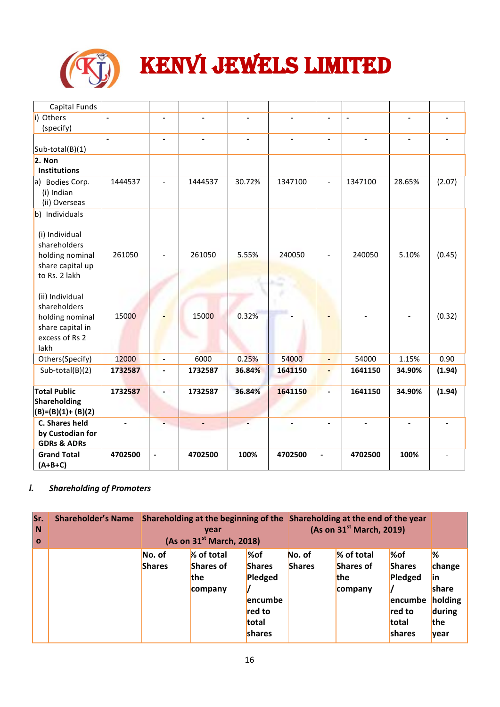

| Capital Funds                                                                          |                |                          |                          |        |         |                          |                |                |        |
|----------------------------------------------------------------------------------------|----------------|--------------------------|--------------------------|--------|---------|--------------------------|----------------|----------------|--------|
| i) Others                                                                              |                |                          |                          |        |         | $\frac{1}{2}$            | $\overline{a}$ |                |        |
| (specify)                                                                              |                |                          |                          |        |         |                          |                |                |        |
|                                                                                        | $\overline{a}$ |                          | $\overline{\phantom{0}}$ |        |         | $\blacksquare$           |                |                |        |
| Sub-total(B)(1)                                                                        |                |                          |                          |        |         |                          |                |                |        |
| $2.$ Non                                                                               |                |                          |                          |        |         |                          |                |                |        |
| <b>Institutions</b>                                                                    |                |                          |                          |        |         |                          |                |                |        |
| a) Bodies Corp.<br>(i) Indian<br>(ii) Overseas                                         | 1444537        | $\overline{a}$           | 1444537                  | 30.72% | 1347100 | $\overline{\phantom{a}}$ | 1347100        | 28.65%         | (2.07) |
| b) Individuals                                                                         |                |                          |                          |        |         |                          |                |                |        |
| (i) Individual<br>shareholders<br>holding nominal<br>share capital up<br>to Rs. 2 lakh | 261050         |                          | 261050                   | 5.55%  | 240050  |                          | 240050         | 5.10%          | (0.45) |
| (ii) Individual                                                                        |                |                          |                          |        |         |                          |                |                |        |
| shareholders                                                                           |                |                          |                          |        |         |                          |                |                |        |
| holding nominal<br>share capital in<br>excess of Rs 2<br>lakh                          | 15000          |                          | 15000                    | 0.32%  |         |                          |                |                | (0.32) |
| Others(Specify)                                                                        | 12000          | $\overline{\phantom{a}}$ | 6000                     | 0.25%  | 54000   | $\overline{\phantom{a}}$ | 54000          | 1.15%          | 0.90   |
| Sub-total(B)(2)                                                                        | 1732587        | $\overline{a}$           | 1732587                  | 36.84% | 1641150 | $\blacksquare$           | 1641150        | 34.90%         | (1.94) |
| <b>Total Public</b><br>Shareholding<br>$(B)=(B)(1)+(B)(2)$                             | 1732587        |                          | 1732587                  | 36.84% | 1641150 | $\blacksquare$           | 1641150        | 34.90%         | (1.94) |
| C. Shares held<br>by Custodian for<br><b>GDRs &amp; ADRs</b>                           |                |                          |                          |        |         |                          |                | $\overline{a}$ |        |
| <b>Grand Total</b><br>$(A+B+C)$                                                        | 4702500        | $\overline{a}$           | 4702500                  | 100%   | 4702500 | $\overline{a}$           | 4702500        | 100%           |        |

#### *i. Shareholding of Promoters*

| Sr.<br>N<br>$\mathbf{o}$ | <b>Shareholder's Name</b> | Shareholding at the beginning of the Shareholding at the end of the year<br>year<br>(As on 31 <sup>st</sup> March, 2018) |                                                         |                                                                                              | (As on $31st$ March, 2019) |                                                         |                                                                                              |                                                                                           |
|--------------------------|---------------------------|--------------------------------------------------------------------------------------------------------------------------|---------------------------------------------------------|----------------------------------------------------------------------------------------------|----------------------------|---------------------------------------------------------|----------------------------------------------------------------------------------------------|-------------------------------------------------------------------------------------------|
|                          |                           | No. of<br><b>Shares</b>                                                                                                  | % of total<br><b>Shares of</b><br><b>the</b><br>company | <b>Xof</b><br><b>Shares</b><br>Pledged<br><b>encumbe</b><br>red to<br>total<br><b>shares</b> | No. of<br><b>Shares</b>    | % of total<br><b>Shares of</b><br><b>the</b><br>company | <b>%of</b><br><b>Shares</b><br>Pledged<br><b>encumbe</b><br>red to<br>total<br><b>shares</b> | $\frac{9}{6}$<br>change<br><b>lin</b><br>share<br>holding<br>during<br>the<br><b>year</b> |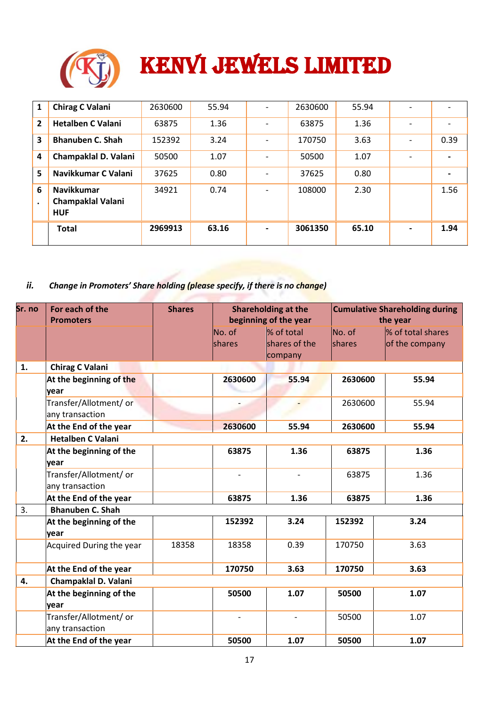

| 1              | <b>Chirag C Valani</b>                                      | 2630600 | 55.94 | $\overline{\phantom{a}}$ | 2630600 | 55.94 |                          |      |
|----------------|-------------------------------------------------------------|---------|-------|--------------------------|---------|-------|--------------------------|------|
| $\overline{2}$ | <b>Hetalben C Valani</b>                                    | 63875   | 1.36  | $\overline{\phantom{a}}$ | 63875   | 1.36  | $\overline{\phantom{0}}$ |      |
| 3              | <b>Bhanuben C. Shah</b>                                     | 152392  | 3.24  | $\overline{\phantom{a}}$ | 170750  | 3.63  |                          | 0.39 |
| $\overline{4}$ | Champaklal D. Valani                                        | 50500   | 1.07  | $\overline{\phantom{a}}$ | 50500   | 1.07  |                          |      |
| 5              | Navikkumar C Valani                                         | 37625   | 0.80  | $\overline{\phantom{0}}$ | 37625   | 0.80  |                          |      |
| 6<br>$\bullet$ | <b>Navikkumar</b><br><b>Champaklal Valani</b><br><b>HUF</b> | 34921   | 0.74  | $\overline{\phantom{a}}$ | 108000  | 2.30  |                          | 1.56 |
|                | <b>Total</b>                                                | 2969913 | 63.16 | $\blacksquare$           | 3061350 | 65.10 |                          | 1.94 |

#### *ii. Change in Promoters' Share holding (please specify, if there is no change)*

| Sr. no | For each of the<br><b>Promoters</b> | <b>Shares</b> |                          | <b>Shareholding at the</b><br>beginning of the year |         | <b>Cumulative Shareholding during</b><br>the year |
|--------|-------------------------------------|---------------|--------------------------|-----------------------------------------------------|---------|---------------------------------------------------|
|        |                                     |               | No. of                   | % of total                                          | No. of  | % of total shares                                 |
|        |                                     |               | shares                   | shares of the                                       | shares  | of the company                                    |
|        |                                     |               |                          | company                                             |         |                                                   |
| 1.     | <b>Chirag C Valani</b>              |               |                          |                                                     |         |                                                   |
|        | At the beginning of the             |               | 2630600                  | 55.94                                               | 2630600 | 55.94                                             |
|        | year                                |               |                          |                                                     |         |                                                   |
|        | Transfer/Allotment/ or              |               |                          |                                                     | 2630600 | 55.94                                             |
|        | any transaction                     |               |                          |                                                     |         |                                                   |
|        | At the End of the year              |               | 2630600                  | 55.94                                               | 2630600 | 55.94                                             |
| 2.     | <b>Hetalben C Valani</b>            |               |                          |                                                     |         |                                                   |
|        | At the beginning of the             |               | 63875                    | 1.36                                                | 63875   | 1.36                                              |
|        | year                                |               |                          |                                                     |         |                                                   |
|        | Transfer/Allotment/ or              |               | $\overline{\phantom{0}}$ | $\overline{a}$                                      | 63875   | 1.36                                              |
|        | any transaction                     |               |                          |                                                     |         |                                                   |
|        | At the End of the year              |               | 63875                    | 1.36                                                | 63875   | 1.36                                              |
| 3.     | <b>Bhanuben C. Shah</b>             |               |                          |                                                     |         |                                                   |
|        | At the beginning of the             |               | 152392                   | 3.24                                                | 152392  | 3.24                                              |
|        | year                                |               |                          |                                                     |         |                                                   |
|        | Acquired During the year            | 18358         | 18358                    | 0.39                                                | 170750  | 3.63                                              |
|        |                                     |               |                          |                                                     |         |                                                   |
|        | At the End of the year              |               | 170750                   | 3.63                                                | 170750  | 3.63                                              |
| 4.     | Champaklal D. Valani                |               |                          |                                                     |         |                                                   |
|        | At the beginning of the             |               | 50500                    | 1.07                                                | 50500   | 1.07                                              |
|        | year                                |               |                          |                                                     |         |                                                   |
|        | Transfer/Allotment/ or              |               | $\overline{\phantom{0}}$ | $\overline{a}$                                      | 50500   | 1.07                                              |
|        | any transaction                     |               |                          |                                                     |         |                                                   |
|        | At the End of the year              |               | 50500                    | 1.07                                                | 50500   | 1.07                                              |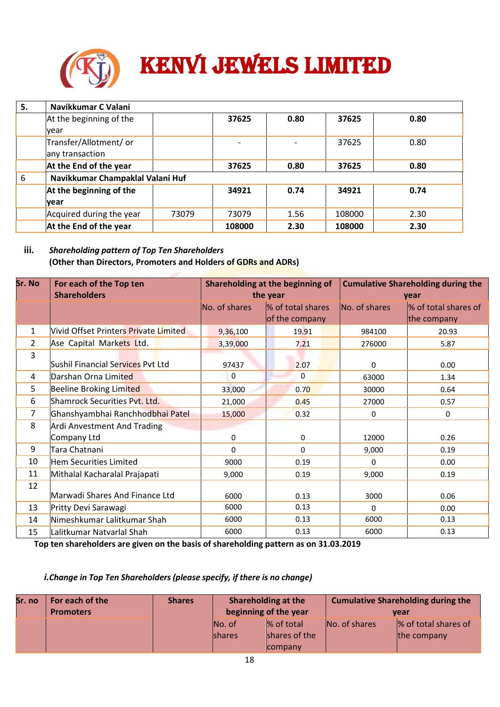

| 5. | Navikkumar C Valani              |       |        |      |        |      |
|----|----------------------------------|-------|--------|------|--------|------|
|    | At the beginning of the          |       | 37625  | 0.80 | 37625  | 0.80 |
|    | year                             |       |        |      |        |      |
|    | Transfer/Allotment/ or           |       |        |      | 37625  | 0.80 |
|    | any transaction                  |       |        |      |        |      |
|    | At the End of the year           |       | 37625  | 0.80 | 37625  | 0.80 |
| 6  | Navikkumar Champaklal Valani Huf |       |        |      |        |      |
|    | At the beginning of the          |       | 34921  | 0.74 | 34921  | 0.74 |
|    | year                             |       |        |      |        |      |
|    | Acquired during the year         | 73079 | 73079  | 1.56 | 108000 | 2.30 |
|    | At the End of the year           |       | 108000 | 2.30 | 108000 | 2.30 |

#### **iii.** *Shareholding pattern of Top Ten Shareholders* **(Other than Directors, Promoters and Holders of GDRs and ADRs)**

| Sr. No         | For each of the Top ten<br><b>Shareholders</b> |               | Shareholding at the beginning of<br>the year | <b>Cumulative Shareholding during the</b><br>year |                                     |
|----------------|------------------------------------------------|---------------|----------------------------------------------|---------------------------------------------------|-------------------------------------|
|                |                                                | No. of shares | % of total shares<br>of the company          | No. of shares                                     | % of total shares of<br>the company |
| $\mathbf{1}$   | Vivid Offset Printers Private Limited          | 9,36,100      | 19.91                                        | 984100                                            | 20.93                               |
| $\overline{2}$ | Ase Capital Markets Ltd.                       | 3,39,000      | 7.21                                         | 276000                                            | 5.87                                |
| 3              | Sushil Financial Services Pvt Ltd              | 97437         | 2.07                                         | $\Omega$                                          | 0.00                                |
| 4              | Darshan Orna Limited                           | 0             | $\Omega$                                     | 63000                                             | 1.34                                |
| 5              | Beeline Broking Limited                        | 33,000        | 0.70                                         | 30000                                             | 0.64                                |
| 6              | Shamrock Securities Pvt. Ltd.                  | 21,000        | 0.45                                         | 27000                                             | 0.57                                |
| 7              | Ghanshyambhai Ranchhodbhai Patel               | 15,000        | 0.32                                         | 0                                                 | $\mathbf 0$                         |
| 8              | <b>Ardi Anvestment And Trading</b>             |               |                                              |                                                   |                                     |
|                | Company Ltd                                    | 0             | 0                                            | 12000                                             | 0.26                                |
| 9              | Tara Chatnani                                  | 0             | $\Omega$                                     | 9,000                                             | 0.19                                |
| 10             | Hem Securities Limited                         | 9000          | 0.19                                         | $\Omega$                                          | 0.00                                |
| 11             | Mithalal Kacharalal Prajapati                  | 9,000         | 0.19                                         | 9,000                                             | 0.19                                |
| 12             |                                                |               |                                              |                                                   |                                     |
|                | Marwadi Shares And Finance Ltd                 | 6000          | 0.13                                         | 3000                                              | 0.06                                |
| 13             | Pritty Devi Sarawagi                           | 6000          | 0.13                                         | $\Omega$                                          | 0.00                                |
| 14             | Nimeshkumar Lalitkumar Shah                    | 6000          | 0.13                                         | 6000                                              | 0.13                                |
| 15             | Lalitkumar Natvarlal Shah                      | 6000          | 0.13                                         | 6000                                              | 0.13                                |

**Top ten shareholders are given on the basis of shareholding pattern as on 31.03.2019**

#### *i.Change in Top Ten Shareholders (please specify, if there is no change)*

| Sr. no | For each of the<br><b>Promoters</b> | <b>Shares</b> | Shareholding at the<br>beginning of the year |                                        |               | <b>Cumulative Shareholding during the</b><br>vear |
|--------|-------------------------------------|---------------|----------------------------------------------|----------------------------------------|---------------|---------------------------------------------------|
|        |                                     |               | INo. of<br><b>Ishares</b>                    | % of total<br>shares of the<br>company | No. of shares | % of total shares of<br>the company               |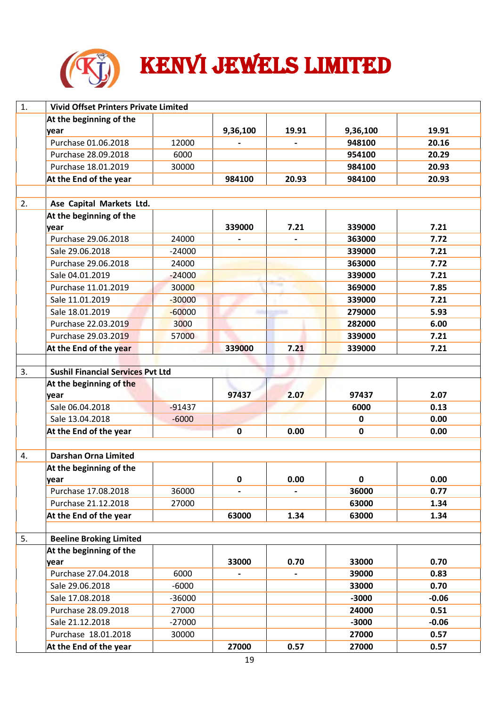

| 1. | <b>Vivid Offset Printers Private Limited</b> |          |              |                          |             |         |
|----|----------------------------------------------|----------|--------------|--------------------------|-------------|---------|
|    | At the beginning of the                      |          |              |                          |             |         |
|    | year                                         |          | 9,36,100     | 19.91                    | 9,36,100    | 19.91   |
|    | Purchase 01.06.2018                          | 12000    |              | $\overline{\phantom{0}}$ | 948100      | 20.16   |
|    | Purchase 28.09.2018                          | 6000     |              |                          | 954100      | 20.29   |
|    | Purchase 18.01.2019                          | 30000    |              |                          | 984100      | 20.93   |
|    | At the End of the year                       |          | 984100       | 20.93                    | 984100      | 20.93   |
|    |                                              |          |              |                          |             |         |
| 2. | Ase Capital Markets Ltd.                     |          |              |                          |             |         |
|    | At the beginning of the                      |          |              |                          |             |         |
|    | year                                         |          | 339000       | 7.21                     | 339000      | 7.21    |
|    | Purchase 29.06.2018                          | 24000    |              |                          | 363000      | 7.72    |
|    | Sale 29.06.2018                              | $-24000$ |              |                          | 339000      | 7.21    |
|    | Purchase 29.06.2018                          | 24000    |              |                          | 363000      | 7.72    |
|    | Sale 04.01.2019                              | $-24000$ |              |                          | 339000      | 7.21    |
|    | Purchase 11.01.2019                          | 30000    |              | <b>Tells</b>             | 369000      | 7.85    |
|    | Sale 11.01.2019                              | $-30000$ |              |                          | 339000      | 7.21    |
|    | Sale 18.01.2019                              | $-60000$ |              | u)                       | 279000      | 5.93    |
|    | Purchase 22.03.2019                          | 3000     |              |                          | 282000      | 6.00    |
|    | Purchase 29.03.2019                          | 57000    |              |                          | 339000      | 7.21    |
|    | At the End of the year                       |          | 339000       | 7.21                     | 339000      | 7.21    |
|    |                                              |          |              |                          |             |         |
| 3. | <b>Sushil Financial Services Pvt Ltd</b>     |          |              |                          |             |         |
|    | At the beginning of the                      |          |              |                          |             |         |
|    | year                                         |          | 97437        | 2.07                     | 97437       | 2.07    |
|    | Sale 06.04.2018                              | $-91437$ |              |                          | 6000        | 0.13    |
|    | Sale 13.04.2018                              | $-6000$  |              |                          | 0           | 0.00    |
|    | At the End of the year                       |          | $\mathbf{0}$ | 0.00                     | $\mathbf 0$ | 0.00    |
|    |                                              |          |              |                          |             |         |
| 4. | <b>Darshan Orna Limited</b>                  |          |              |                          |             |         |
|    | At the beginning of the                      |          |              |                          |             |         |
|    | year                                         |          | 0            | 0.00                     | 0           | 0.00    |
|    | Purchase 17.08.2018                          | 36000    |              |                          | 36000       | 0.77    |
|    | Purchase 21.12.2018                          | 27000    |              |                          | 63000       | 1.34    |
|    | At the End of the year                       |          | 63000        | 1.34                     | 63000       | 1.34    |
|    |                                              |          |              |                          |             |         |
| 5. | <b>Beeline Broking Limited</b>               |          |              |                          |             |         |
|    | At the beginning of the                      |          |              |                          |             |         |
|    | year                                         |          | 33000        | 0.70                     | 33000       | 0.70    |
|    | Purchase 27.04.2018                          | 6000     |              |                          | 39000       | 0.83    |
|    | Sale 29.06.2018                              | $-6000$  |              |                          | 33000       | 0.70    |
|    | Sale 17.08.2018                              | -36000   |              |                          | $-3000$     | $-0.06$ |
|    | Purchase 28.09.2018                          | 27000    |              |                          | 24000       | 0.51    |
|    | Sale 21.12.2018                              | $-27000$ |              |                          | $-3000$     | $-0.06$ |
|    | Purchase 18.01.2018                          | 30000    |              |                          | 27000       | 0.57    |
|    | At the End of the year                       |          | 27000        | 0.57                     | 27000       | 0.57    |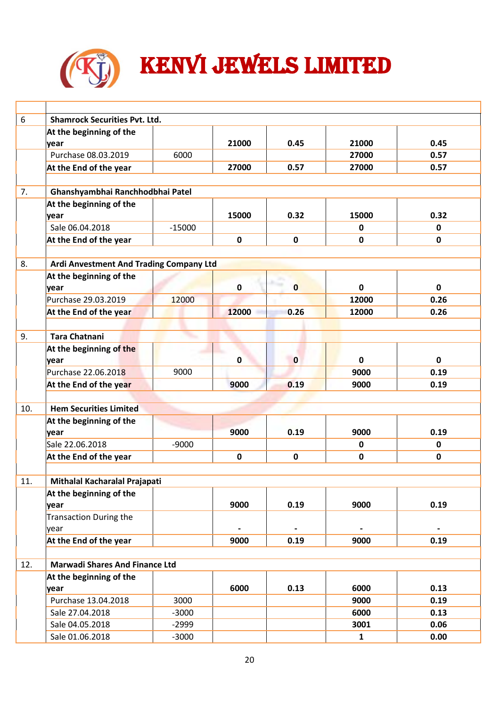

| 6   | <b>Shamrock Securities Pvt. Ltd.</b>    |          |             |                         |              |                |  |  |
|-----|-----------------------------------------|----------|-------------|-------------------------|--------------|----------------|--|--|
|     | At the beginning of the                 |          |             |                         |              |                |  |  |
|     | year                                    |          | 21000       | 0.45                    | 21000        | 0.45           |  |  |
|     | Purchase 08.03.2019                     | 6000     |             |                         | 27000        | 0.57           |  |  |
|     | At the End of the year                  |          | 27000       | 0.57                    | 27000        | 0.57           |  |  |
|     |                                         |          |             |                         |              |                |  |  |
| 7.  | Ghanshyambhai Ranchhodbhai Patel        |          |             |                         |              |                |  |  |
|     | At the beginning of the                 |          |             |                         |              |                |  |  |
|     | vear                                    |          | 15000       | 0.32                    | 15000        | 0.32           |  |  |
|     | Sale 06.04.2018                         | $-15000$ |             |                         | 0            | 0              |  |  |
|     | At the End of the year                  |          | $\mathbf 0$ | $\mathbf 0$             | $\mathbf{0}$ | 0              |  |  |
|     |                                         |          |             |                         |              |                |  |  |
| 8.  | Ardi Anvestment And Trading Company Ltd |          |             |                         |              |                |  |  |
|     | At the beginning of the                 |          |             |                         |              |                |  |  |
|     | vear                                    |          | 0           | $\overline{\mathbf{0}}$ | $\mathbf 0$  | $\mathbf{0}$   |  |  |
|     | Purchase 29.03.2019                     | 12000    |             |                         | 12000        | 0.26           |  |  |
|     | At the End of the year                  |          | 12000       | 0.26                    | 12000        | 0.26           |  |  |
|     |                                         |          |             |                         |              |                |  |  |
| 9.  | <b>Tara Chatnani</b>                    |          |             |                         |              |                |  |  |
|     | At the beginning of the                 |          |             |                         |              |                |  |  |
|     | vear                                    |          | 0           | $\mathbf 0$             | 0            | 0              |  |  |
|     | Purchase 22.06.2018                     | 9000     |             |                         | 9000         | 0.19           |  |  |
|     | At the End of the year                  |          | 9000        | 0.19                    | 9000         | 0.19           |  |  |
|     | <b>Hem Securities Limited</b>           |          |             |                         |              |                |  |  |
| 10. |                                         |          |             |                         |              |                |  |  |
|     | At the beginning of the<br>year         |          | 9000        | 0.19                    | 9000         | 0.19           |  |  |
|     | Sale 22.06.2018                         | $-9000$  |             |                         | 0            | 0              |  |  |
|     | At the End of the year                  |          | $\mathbf 0$ | $\mathbf 0$             | $\mathbf{0}$ | $\mathbf 0$    |  |  |
|     |                                         |          |             |                         |              |                |  |  |
| 11. | Mithalal Kacharalal Prajapati           |          |             |                         |              |                |  |  |
|     | At the beginning of the                 |          |             |                         |              |                |  |  |
|     | year                                    |          | 9000        | 0.19                    | 9000         | 0.19           |  |  |
|     | <b>Transaction During the</b>           |          |             |                         |              |                |  |  |
|     | year                                    |          |             |                         |              | $\blacksquare$ |  |  |
|     | At the End of the year                  |          | 9000        | 0.19                    | 9000         | 0.19           |  |  |
|     |                                         |          |             |                         |              |                |  |  |
| 12. | <b>Marwadi Shares And Finance Ltd</b>   |          |             |                         |              |                |  |  |
|     | At the beginning of the                 |          |             |                         |              |                |  |  |
|     | year                                    |          | 6000        | 0.13                    | 6000         | 0.13           |  |  |
|     | Purchase 13.04.2018                     | 3000     |             |                         | 9000         | 0.19           |  |  |
|     | Sale 27.04.2018                         | $-3000$  |             |                         | 6000         | 0.13           |  |  |
|     | Sale 04.05.2018                         | $-2999$  |             |                         | 3001         | 0.06           |  |  |
|     | Sale 01.06.2018                         | $-3000$  |             |                         | $\mathbf{1}$ | 0.00           |  |  |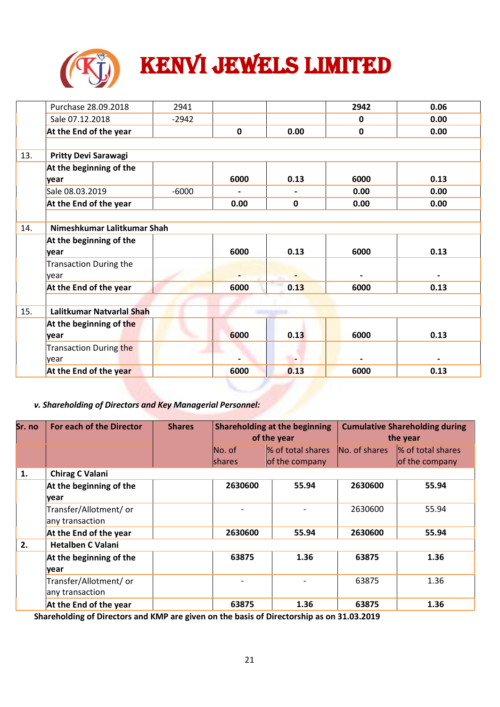

|     | Purchase 28.09.2018           | 2941    |             |             | 2942        | 0.06 |  |  |
|-----|-------------------------------|---------|-------------|-------------|-------------|------|--|--|
|     | Sale 07.12.2018               | $-2942$ |             |             | $\mathbf 0$ | 0.00 |  |  |
|     | At the End of the year        |         | $\mathbf 0$ | 0.00        | $\mathbf 0$ | 0.00 |  |  |
|     |                               |         |             |             |             |      |  |  |
| 13. | <b>Pritty Devi Sarawagi</b>   |         |             |             |             |      |  |  |
|     | At the beginning of the       |         |             |             |             |      |  |  |
|     | year                          |         | 6000        | 0.13        | 6000        | 0.13 |  |  |
|     | Sale 08.03.2019               | $-6000$ |             |             | 0.00        | 0.00 |  |  |
|     | At the End of the year        |         | 0.00        | $\mathbf 0$ | 0.00        | 0.00 |  |  |
|     |                               |         |             |             |             |      |  |  |
| 14. | Nimeshkumar Lalitkumar Shah   |         |             |             |             |      |  |  |
|     | At the beginning of the       |         |             |             |             |      |  |  |
|     | vear                          |         | 6000        | 0.13        | 6000        | 0.13 |  |  |
|     | <b>Transaction During the</b> |         |             |             |             |      |  |  |
|     | vear                          |         |             |             |             |      |  |  |
|     | At the End of the year        |         | 6000        | 0.13        | 6000        | 0.13 |  |  |
|     |                               |         |             |             |             |      |  |  |
| 15. | Lalitkumar Natvarlal Shah     |         |             |             |             |      |  |  |
|     | At the beginning of the       |         |             |             |             |      |  |  |
|     | vear                          |         | 6000        | 0.13        | 6000        | 0.13 |  |  |
|     | <b>Transaction During the</b> |         |             |             |             |      |  |  |
|     | year                          |         |             |             |             |      |  |  |
|     | At the End of the year        |         | 6000        | 0.13        | 6000        | 0.13 |  |  |
|     |                               |         |             |             |             |      |  |  |

#### *v. Shareholding of Directors and Key Managerial Personnel:*

| Sr. no | For each of the Director | <b>Shares</b> |         | Shareholding at the beginning | <b>Cumulative Shareholding during</b> |                   |  |
|--------|--------------------------|---------------|---------|-------------------------------|---------------------------------------|-------------------|--|
|        |                          |               |         | of the year                   | the year                              |                   |  |
|        |                          |               | No. of  | % of total shares             | No. of shares                         | % of total shares |  |
|        |                          |               | shares  | of the company                |                                       | of the company    |  |
| 1.     | <b>Chirag C Valani</b>   |               |         |                               |                                       |                   |  |
|        | At the beginning of the  |               | 2630600 | 55.94                         | 2630600                               | 55.94             |  |
|        | vear                     |               |         |                               |                                       |                   |  |
|        | Transfer/Allotment/ or   |               |         |                               | 2630600                               | 55.94             |  |
|        | any transaction          |               |         |                               |                                       |                   |  |
|        | At the End of the year   |               | 2630600 | 55.94                         | 2630600                               | 55.94             |  |
| 2.     | <b>Hetalben C Valani</b> |               |         |                               |                                       |                   |  |
|        | At the beginning of the  |               | 63875   | 1.36                          | 63875                                 | 1.36              |  |
|        | vear                     |               |         |                               |                                       |                   |  |
|        | Transfer/Allotment/ or   |               |         |                               | 63875                                 | 1.36              |  |
|        | any transaction          |               |         |                               |                                       |                   |  |
|        | At the End of the year   |               | 63875   | 1.36                          | 63875                                 | 1.36              |  |

**Shareholding of Directors and KMP are given on the basis of Directorship as on 31.03.2019**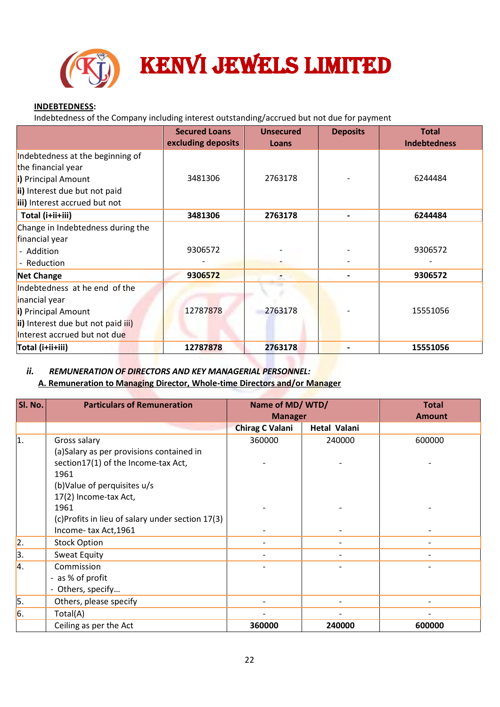

#### **INDEBTEDNESS:**

Indebtedness of the Company including interest outstanding/accrued but not due for payment

|                                    | <b>Secured Loans</b> | <b>Unsecured</b> | <b>Deposits</b> | <b>Total</b>        |
|------------------------------------|----------------------|------------------|-----------------|---------------------|
|                                    | excluding deposits   | Loans            |                 | <b>Indebtedness</b> |
| Indebtedness at the beginning of   |                      |                  |                 |                     |
| the financial year                 |                      |                  |                 |                     |
| i) Principal Amount                | 3481306              | 2763178          |                 | 6244484             |
| ii) Interest due but not paid      |                      |                  |                 |                     |
| iii) Interest accrued but not      |                      |                  |                 |                     |
| Total (i+ii+iii)                   | 3481306              | 2763178          |                 | 6244484             |
| Change in Indebtedness during the  |                      |                  |                 |                     |
| financial year                     |                      |                  |                 |                     |
| - Addition                         | 9306572              |                  |                 | 9306572             |
| - Reduction                        |                      |                  |                 |                     |
| <b>Net Change</b>                  | 9306572              |                  |                 | 9306572             |
| Indebtedness at he end of the      |                      |                  |                 |                     |
| inancial year                      |                      |                  |                 |                     |
| i) Principal Amount                | 12787878             | 2763178          |                 | 15551056            |
| ii) Interest due but not paid iii) |                      |                  |                 |                     |
| Interest accrued but not due       |                      |                  |                 |                     |
| Total (i+ii+iii)                   | 12787878             | 2763178          |                 | 15551056            |

#### *ii. REMUNERATION OF DIRECTORS AND KEY MANAGERIAL PERSONNEL:*   **A. Remuneration to Managing Director, Whole-time Directors and/or Manager**

| Sl. No.          | <b>Particulars of Remuneration</b>               | Name of MD/WTD/        |                     | <b>Total</b>  |
|------------------|--------------------------------------------------|------------------------|---------------------|---------------|
|                  |                                                  | <b>Manager</b>         |                     | <b>Amount</b> |
|                  |                                                  | <b>Chirag C Valani</b> | <b>Hetal Valani</b> |               |
| 1.               | Gross salary                                     | 360000                 | 240000              | 600000        |
|                  | (a)Salary as per provisions contained in         |                        |                     |               |
|                  | section17(1) of the Income-tax Act,              |                        |                     |               |
|                  | 1961                                             |                        |                     |               |
|                  | (b) Value of perquisites u/s                     |                        |                     |               |
|                  | 17(2) Income-tax Act,                            |                        |                     |               |
|                  | 1961                                             |                        |                     |               |
|                  | (c)Profits in lieu of salary under section 17(3) |                        |                     |               |
|                  | Income-tax Act, 1961                             |                        |                     |               |
| $\overline{2}$ . | <b>Stock Option</b>                              |                        |                     |               |
| 3.               | <b>Sweat Equity</b>                              |                        |                     |               |
| 4.               | Commission                                       |                        |                     |               |
|                  | - as % of profit                                 |                        |                     |               |
|                  | - Others, specify                                |                        |                     |               |
| 5.               | Others, please specify                           |                        |                     |               |
| 6.               | Total(A)                                         |                        |                     |               |
|                  | Ceiling as per the Act                           | 360000                 | 240000              | 600000        |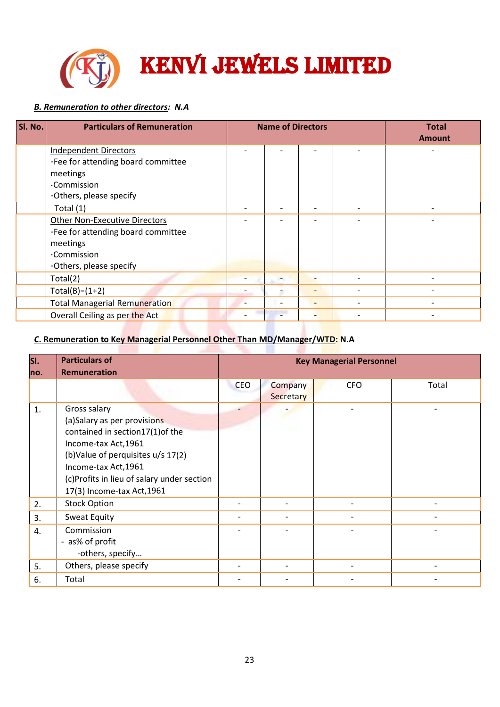

#### *B. Remuneration to other directors: N.A*

| SI. No. | <b>Particulars of Remuneration</b>   | <b>Name of Directors</b> |  | <b>Total</b><br><b>Amount</b> |
|---------|--------------------------------------|--------------------------|--|-------------------------------|
|         | <b>Independent Directors</b>         |                          |  |                               |
|         | ·Fee for attending board committee   |                          |  |                               |
|         | meetings                             |                          |  |                               |
|         | <b>Commission</b>                    |                          |  |                               |
|         | Others, please specify               |                          |  |                               |
|         | Total (1)                            |                          |  |                               |
|         | <b>Other Non-Executive Directors</b> |                          |  |                               |
|         | ·Fee for attending board committee   |                          |  |                               |
|         | meetings                             |                          |  |                               |
|         | <b>Commission</b>                    |                          |  |                               |
|         | Others, please specify               |                          |  |                               |
|         | Total(2)                             | $\overline{\phantom{a}}$ |  |                               |
|         | $Total(B)=(1+2)$                     |                          |  |                               |
|         | <b>Total Managerial Remuneration</b> |                          |  |                               |
|         | Overall Ceiling as per the Act       |                          |  |                               |
|         |                                      |                          |  |                               |

#### *C***. Remuneration to Key Managerial Personnel Other Than MD/Manager/WTD: N.A**

| SI. | <b>Particulars of</b>                                                                                                                                                                                                                             | <b>Key Managerial Personnel</b> |                          |            |       |  |  |
|-----|---------------------------------------------------------------------------------------------------------------------------------------------------------------------------------------------------------------------------------------------------|---------------------------------|--------------------------|------------|-------|--|--|
| no. | Remuneration                                                                                                                                                                                                                                      |                                 |                          |            |       |  |  |
|     |                                                                                                                                                                                                                                                   | <b>CEO</b>                      | Company<br>Secretary     | <b>CFO</b> | Total |  |  |
| 1.  | Gross salary<br>(a)Salary as per provisions<br>contained in section17(1) of the<br>Income-tax Act, 1961<br>(b) Value of perquisites u/s 17(2)<br>Income-tax Act, 1961<br>(c)Profits in lieu of salary under section<br>17(3) Income-tax Act, 1961 |                                 |                          |            |       |  |  |
| 2.  | <b>Stock Option</b>                                                                                                                                                                                                                               |                                 | $\overline{\phantom{0}}$ |            |       |  |  |
| 3.  | Sweat Equity                                                                                                                                                                                                                                      |                                 |                          |            |       |  |  |
| 4.  | Commission<br>- as% of profit<br>-others, specify                                                                                                                                                                                                 |                                 |                          |            |       |  |  |
| 5.  | Others, please specify                                                                                                                                                                                                                            |                                 |                          |            |       |  |  |
| 6.  | Total                                                                                                                                                                                                                                             |                                 |                          |            |       |  |  |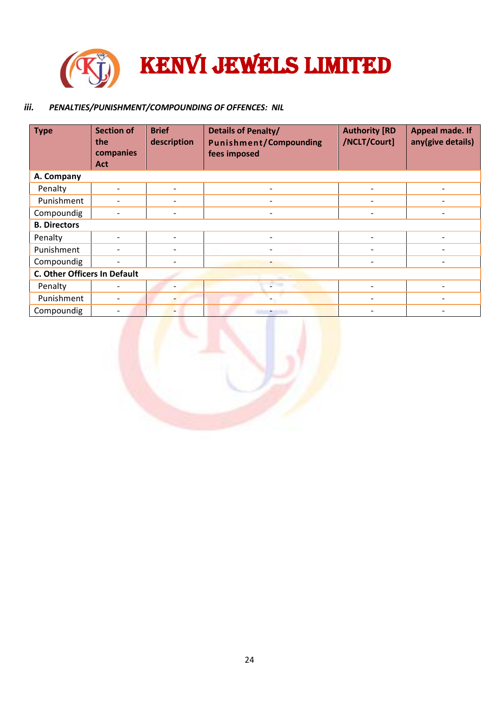

#### *iii. PENALTIES/PUNISHMENT/COMPOUNDING OF OFFENCES: NIL*

| <b>Type</b>         | <b>Section of</b><br>the<br>companies<br>Act | <b>Brief</b><br>description | Details of Penalty/<br><b>Punishment/Compounding</b><br>fees imposed | <b>Authority [RD</b><br>/NCLT/Court] | Appeal made. If<br>any(give details) |  |  |  |
|---------------------|----------------------------------------------|-----------------------------|----------------------------------------------------------------------|--------------------------------------|--------------------------------------|--|--|--|
| A. Company          |                                              |                             |                                                                      |                                      |                                      |  |  |  |
| Penalty             |                                              |                             |                                                                      |                                      |                                      |  |  |  |
| Punishment          | $\overline{\phantom{0}}$                     |                             |                                                                      |                                      |                                      |  |  |  |
| Compoundig          |                                              |                             |                                                                      |                                      |                                      |  |  |  |
| <b>B. Directors</b> |                                              |                             |                                                                      |                                      |                                      |  |  |  |
| Penalty             |                                              |                             |                                                                      |                                      |                                      |  |  |  |
| Punishment          |                                              |                             |                                                                      |                                      |                                      |  |  |  |
| Compoundig          |                                              |                             |                                                                      |                                      |                                      |  |  |  |
|                     | C. Other Officers In Default                 |                             |                                                                      |                                      |                                      |  |  |  |
| Penalty             |                                              |                             | <b>The State</b>                                                     |                                      |                                      |  |  |  |
| Punishment          |                                              |                             |                                                                      |                                      |                                      |  |  |  |
| Compoundig          |                                              |                             |                                                                      |                                      |                                      |  |  |  |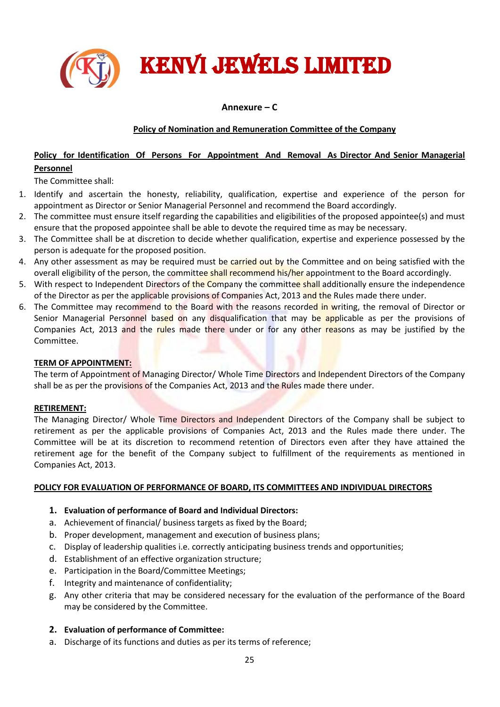

#### **Annexure – C**

#### **Policy of Nomination and Remuneration Committee of the Company**

#### **Policy for Identification Of Persons For Appointment And Removal As Director And Senior Managerial Personnel**

The Committee shall:

- 1. Identify and ascertain the honesty, reliability, qualification, expertise and experience of the person for appointment as Director or Senior Managerial Personnel and recommend the Board accordingly.
- 2. The committee must ensure itself regarding the capabilities and eligibilities of the proposed appointee(s) and must ensure that the proposed appointee shall be able to devote the required time as may be necessary.
- 3. The Committee shall be at discretion to decide whether qualification, expertise and experience possessed by the person is adequate for the proposed position.
- 4. Any other assessment as may be required must be carried out by the Committee and on being satisfied with the overall eligibility of the person, the committee shall recommend his/her appointment to the Board accordingly.
- 5. With respect to Independent Directors of the Company the committee shall additionally ensure the independence of the Director as per the applicable provisions of Companies Act, 2013 and the Rules made there under.
- 6. The Committee may recommend to the Board with the reasons recorded in writing, the removal of Director or Senior Managerial Personnel based on any disqualification that may be applicable as per the provisions of Companies Act, 2013 and the rules made there under or for any other reasons as may be justified by the Committee.

#### **TERM OF APPOINTMENT:**

The term of Appointment of Managing Director/ Whole Time Directors and Independent Directors of the Company shall be as per the provisions of the Companies Act, 2013 and the Rules made there under.

#### **RETIREMENT:**

The Managing Director/ Whole Time Directors and Independent Directors of the Company shall be subject to retirement as per the applicable provisions of Companies Act, 2013 and the Rules made there under. The Committee will be at its discretion to recommend retention of Directors even after they have attained the retirement age for the benefit of the Company subject to fulfillment of the requirements as mentioned in Companies Act, 2013.

#### **POLICY FOR EVALUATION OF PERFORMANCE OF BOARD, ITS COMMITTEES AND INDIVIDUAL DIRECTORS**

#### **1. Evaluation of performance of Board and Individual Directors:**

- a. Achievement of financial/ business targets as fixed by the Board;
- b. Proper development, management and execution of business plans;
- c. Display of leadership qualities i.e. correctly anticipating business trends and opportunities;
- d. Establishment of an effective organization structure;
- e. Participation in the Board/Committee Meetings;
- f. Integrity and maintenance of confidentiality;
- g. Any other criteria that may be considered necessary for the evaluation of the performance of the Board may be considered by the Committee.

#### **2. Evaluation of performance of Committee:**

a. Discharge of its functions and duties as per its terms of reference;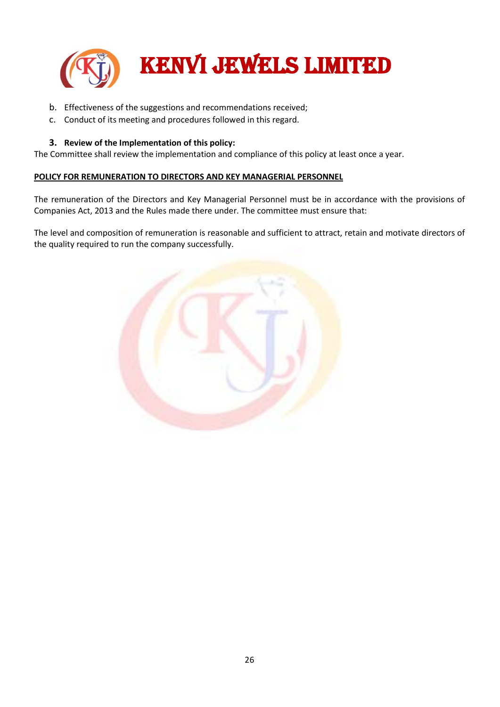

- b. Effectiveness of the suggestions and recommendations received;
- c. Conduct of its meeting and procedures followed in this regard.

#### **3. Review of the Implementation of this policy:**

The Committee shall review the implementation and compliance of this policy at least once a year.

#### **POLICY FOR REMUNERATION TO DIRECTORS AND KEY MANAGERIAL PERSONNEL**

The remuneration of the Directors and Key Managerial Personnel must be in accordance with the provisions of Companies Act, 2013 and the Rules made there under. The committee must ensure that:

The level and composition of remuneration is reasonable and sufficient to attract, retain and motivate directors of the quality required to run the company successfully.

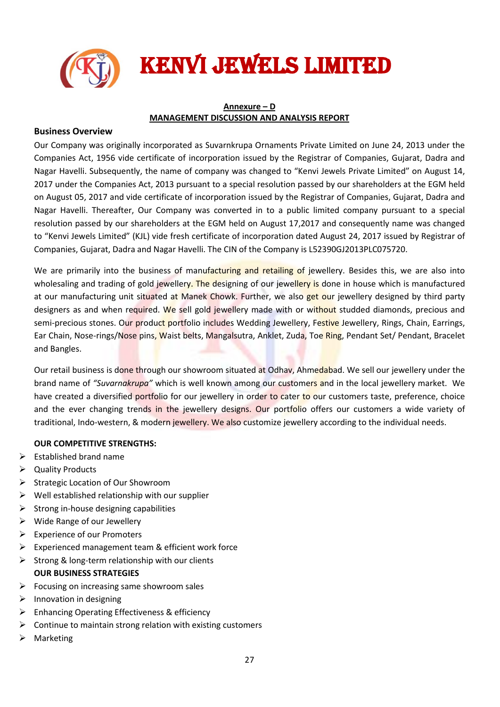

#### **Annexure – D MANAGEMENT DISCUSSION AND ANALYSIS REPORT**

#### **Business Overview**

Our Company was originally incorporated as Suvarnkrupa Ornaments Private Limited on June 24, 2013 under the Companies Act, 1956 vide certificate of incorporation issued by the Registrar of Companies, Gujarat, Dadra and Nagar Havelli. Subsequently, the name of company was changed to "Kenvi Jewels Private Limited" on August 14, 2017 under the Companies Act, 2013 pursuant to a special resolution passed by our shareholders at the EGM held on August 05, 2017 and vide certificate of incorporation issued by the Registrar of Companies, Gujarat, Dadra and Nagar Havelli. Thereafter, Our Company was converted in to a public limited company pursuant to a special resolution passed by our shareholders at the EGM held on August 17,2017 and consequently name was changed to "Kenvi Jewels Limited" (KJL) vide fresh certificate of incorporation dated August 24, 2017 issued by Registrar of Companies, Gujarat, Dadra and Nagar Havelli. The CIN of the Company is L52390GJ2013PLC075720.

We are primarily into the business of manufacturing and retailing of jewellery. Besides this, we are also into wholesaling and trading of gold jewellery. The designing of our jewellery is done in house which is manufactured at our manufacturing unit situated at Manek Chowk. Further, we also get our jewellery designed by third party designers as and when required. We sell gold jewellery made with or without studded diamonds, precious and semi-precious stones. Our product portfolio includes Wedding Jewellery, Festive Jewellery, Rings, Chain, Earrings, Ear Chain, Nose-rings/Nose pins, Waist belts, Mangalsutra, Anklet, Zuda, Toe Ring, Pendant Set/ Pendant, Bracelet and Bangles.

Our retail business is done through our showroom situated at Odhav, Ahmedabad. We sell our jewellery under the brand name of *"Suvarnakrupa"* which is well known among our customers and in the local jewellery market. We have created a diversified portfolio for our jewellery in order to cater to our customers taste, preference, choice and the ever changing trends in the jewellery designs. Our portfolio offers our customers a wide variety of traditional, Indo-western, & modern jewellery. We also customize jewellery according to the individual needs.

#### **OUR COMPETITIVE STRENGTHS:**

- $\triangleright$  Established brand name
- $\triangleright$  Quality Products
- $\triangleright$  Strategic Location of Our Showroom
- $\triangleright$  Well established relationship with our supplier
- $\triangleright$  Strong in-house designing capabilities
- $\triangleright$  Wide Range of our Jewellery
- Experience of our Promoters
- $\triangleright$  Experienced management team & efficient work force
- $\triangleright$  Strong & long-term relationship with our clients

#### **OUR BUSINESS STRATEGIES**

- $\triangleright$  Focusing on increasing same showroom sales
- $\triangleright$  Innovation in designing
- $\triangleright$  Enhancing Operating Effectiveness & efficiency
- $\triangleright$  Continue to maintain strong relation with existing customers
- $\triangleright$  Marketing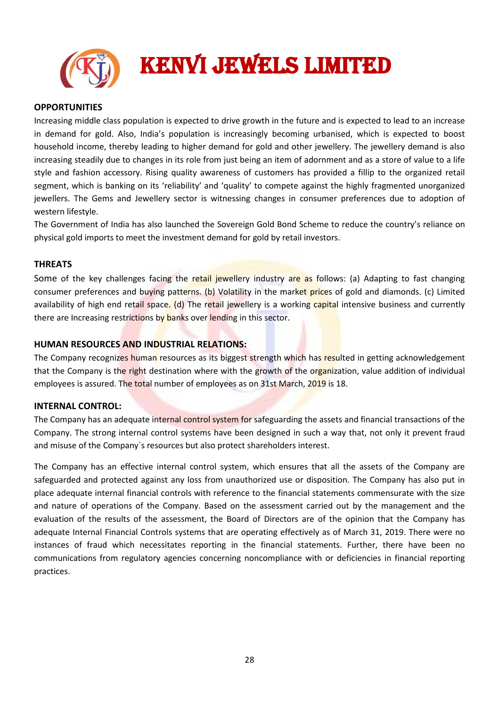

#### **OPPORTUNITIES**

Increasing middle class population is expected to drive growth in the future and is expected to lead to an increase in demand for gold. Also, India's population is increasingly becoming urbanised, which is expected to boost household income, thereby leading to higher demand for gold and other jewellery. The jewellery demand is also increasing steadily due to changes in its role from just being an item of adornment and as a store of value to a life style and fashion accessory. Rising quality awareness of customers has provided a fillip to the organized retail segment, which is banking on its 'reliability' and 'quality' to compete against the highly fragmented unorganized jewellers. The Gems and Jewellery sector is witnessing changes in consumer preferences due to adoption of western lifestyle.

The Government of India has also launched the Sovereign Gold Bond Scheme to reduce the country's reliance on physical gold imports to meet the investment demand for gold by retail investors.

#### **THREATS**

Some of the key challenges facing the retail jewellery industry are as follows: (a) Adapting to fast changing consumer preferences and buying patterns. (b) Volatility in the market prices of gold and diamonds. (c) Limited availability of high end retail space. (d) The retail jewellery is a working capital intensive business and currently there are Increasing restrictions by banks over lending in this sector.

#### **HUMAN RESOURCES AND INDUSTRIAL RELATIONS:**

The Company recognizes human resources as its biggest strength which has resulted in getting acknowledgement that the Company is the right destination where with the growth of the organization, value addition of individual employees is assured. The total number of employees as on 31st March, 2019 is 18.

#### **INTERNAL CONTROL:**

The Company has an adequate internal control system for safeguarding the assets and financial transactions of the Company. The strong internal control systems have been designed in such a way that, not only it prevent fraud and misuse of the Company`s resources but also protect shareholders interest.

The Company has an effective internal control system, which ensures that all the assets of the Company are safeguarded and protected against any loss from unauthorized use or disposition. The Company has also put in place adequate internal financial controls with reference to the financial statements commensurate with the size and nature of operations of the Company. Based on the assessment carried out by the management and the evaluation of the results of the assessment, the Board of Directors are of the opinion that the Company has adequate Internal Financial Controls systems that are operating effectively as of March 31, 2019. There were no instances of fraud which necessitates reporting in the financial statements. Further, there have been no communications from regulatory agencies concerning noncompliance with or deficiencies in financial reporting practices.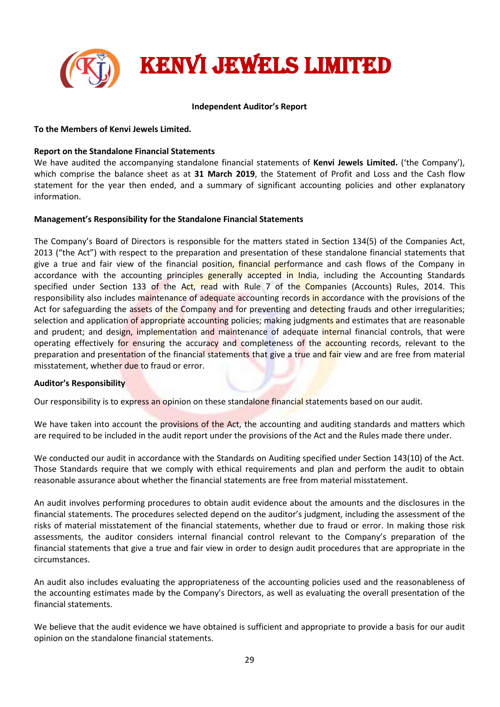

#### **Independent Auditor's Report**

#### **To the Members of Kenvi Jewels Limited.**

#### **Report on the Standalone Financial Statements**

We have audited the accompanying standalone financial statements of **Kenvi Jewels Limited.** ('the Company'), which comprise the balance sheet as at **31 March 2019**, the Statement of Profit and Loss and the Cash flow statement for the year then ended, and a summary of significant accounting policies and other explanatory information.

#### **Management's Responsibility for the Standalone Financial Statements**

The Company's Board of Directors is responsible for the matters stated in Section 134(5) of the Companies Act, 2013 ("the Act") with respect to the preparation and presentation of these standalone financial statements that give a true and fair view of the financial position, financial performance and cash flows of the Company in accordance with the accounting principles generally accepted in India, including the Accounting Standards specified under Section 133 of the Act, read with Rule 7 of the Companies (Accounts) Rules, 2014. This responsibility also includes maintenance of adequate accounting records in accordance with the provisions of the Act for safeguarding the assets of the Company and for preventing and detecting frauds and other irregularities; selection and application of appropriate accounting policies; making judgments and estimates that are reasonable and prudent; and design, implementation and maintenance of adequate internal financial controls, that were operating effectively for ensuring the accuracy and completeness of the accounting records, relevant to the preparation and presentation of the financial statements that give a true and fair view and are free from material misstatement, whether due to fraud or error.

#### **Auditor's Responsibility**

Our responsibility is to express an opinion on these standalone financial statements based on our audit.

We have taken into account the provisions of the Act, the accounting and auditing standards and matters which are required to be included in the audit report under the provisions of the Act and the Rules made there under.

We conducted our audit in accordance with the Standards on Auditing specified under Section 143(10) of the Act. Those Standards require that we comply with ethical requirements and plan and perform the audit to obtain reasonable assurance about whether the financial statements are free from material misstatement.

An audit involves performing procedures to obtain audit evidence about the amounts and the disclosures in the financial statements. The procedures selected depend on the auditor's judgment, including the assessment of the risks of material misstatement of the financial statements, whether due to fraud or error. In making those risk assessments, the auditor considers internal financial control relevant to the Company's preparation of the financial statements that give a true and fair view in order to design audit procedures that are appropriate in the circumstances.

An audit also includes evaluating the appropriateness of the accounting policies used and the reasonableness of the accounting estimates made by the Company's Directors, as well as evaluating the overall presentation of the financial statements.

We believe that the audit evidence we have obtained is sufficient and appropriate to provide a basis for our audit opinion on the standalone financial statements.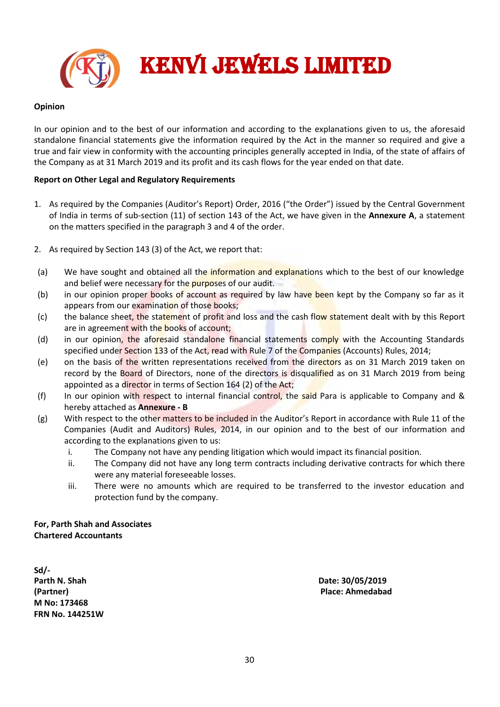

#### **Opinion**

In our opinion and to the best of our information and according to the explanations given to us, the aforesaid standalone financial statements give the information required by the Act in the manner so required and give a true and fair view in conformity with the accounting principles generally accepted in India, of the state of affairs of the Company as at 31 March 2019 and its profit and its cash flows for the year ended on that date.

#### **Report on Other Legal and Regulatory Requirements**

- 1. As required by the Companies (Auditor's Report) Order, 2016 ("the Order") issued by the Central Government of India in terms of sub-section (11) of section 143 of the Act, we have given in the **Annexure A**, a statement on the matters specified in the paragraph 3 and 4 of the order.
- 2. As required by Section 143 (3) of the Act, we report that:
- (a) We have sought and obtained all the information and explanations which to the best of our knowledge and belief were necessary for the purposes of our audit.
- (b) in our opinion proper books of account as required by law have been kept by the Company so far as it appears from our examination of those books;
- (c) the balance sheet, the statement of profit and loss and the cash flow statement dealt with by this Report are in agreement with the books of account;
- (d) in our opinion, the aforesaid standalone financial statements comply with the Accounting Standards specified under Section 133 of the Act, read with Rule 7 of the Companies (Accounts) Rules, 2014;
- (e) on the basis of the written representations received from the directors as on 31 March 2019 taken on record by the Board of Directors, none of the directors is disqualified as on 31 March 2019 from being appointed as a director in terms of Section 164 (2) of the Act;
- (f) In our opinion with respect to internal financial control, the said Para is applicable to Company and & hereby attached as **Annexure - B**
- (g) With respect to the other matters to be included in the Auditor's Report in accordance with Rule 11 of the Companies (Audit and Auditors) Rules, 2014, in our opinion and to the best of our information and according to the explanations given to us:
	- i. The Company not have any pending litigation which would impact its financial position.
	- ii. The Company did not have any long term contracts including derivative contracts for which there were any material foreseeable losses.
	- iii. There were no amounts which are required to be transferred to the investor education and protection fund by the company.

#### **For, Parth Shah and Associates Chartered Accountants**

**Sd/- Parth N. Shah Date: 30/05/2019 M No: 173468 FRN No. 144251W**

**(Partner) Place: Ahmedabad**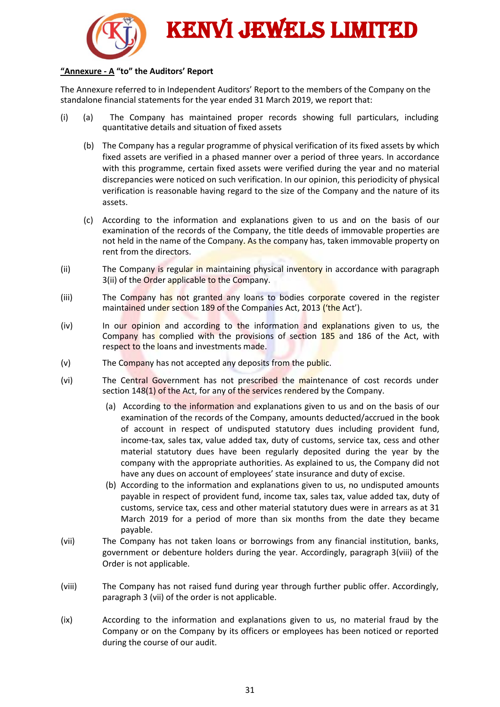

#### **"Annexure - A "to" the Auditors' Report**

The Annexure referred to in Independent Auditors' Report to the members of the Company on the standalone financial statements for the year ended 31 March 2019, we report that:

- (i) (a) The Company has maintained proper records showing full particulars, including quantitative details and situation of fixed assets
	- (b) The Company has a regular programme of physical verification of its fixed assets by which fixed assets are verified in a phased manner over a period of three years. In accordance with this programme, certain fixed assets were verified during the year and no material discrepancies were noticed on such verification. In our opinion, this periodicity of physical verification is reasonable having regard to the size of the Company and the nature of its assets.
	- (c) According to the information and explanations given to us and on the basis of our examination of the records of the Company, the title deeds of immovable properties are not held in the name of the Company. As the company has, taken immovable property on rent from the directors.
- (ii) The Company is regular in maintaining physical inventory in accordance with paragraph 3(ii) of the Order applicable to the Company.
- (iii) The Company has not granted any loans to bodies corporate covered in the register maintained under section 189 of the Companies Act, 2013 ('the Act').
- (iv) In our opinion and according to the information and explanations given to us, the Company has complied with the provisions of section 185 and 186 of the Act, with respect to the loans and investments made.
- (v) The Company has not accepted any deposits from the public.
- (vi) The Central Government has not prescribed the maintenance of cost records under section 148(1) of the Act, for any of the services rendered by the Company.
	- (a) According to the information and explanations given to us and on the basis of our examination of the records of the Company, amounts deducted/accrued in the book of account in respect of undisputed statutory dues including provident fund, income-tax, sales tax, value added tax, duty of customs, service tax, cess and other material statutory dues have been regularly deposited during the year by the company with the appropriate authorities. As explained to us, the Company did not have any dues on account of employees' state insurance and duty of excise.
	- (b) According to the information and explanations given to us, no undisputed amounts payable in respect of provident fund, income tax, sales tax, value added tax, duty of customs, service tax, cess and other material statutory dues were in arrears as at 31 March 2019 for a period of more than six months from the date they became payable.
- (vii) The Company has not taken loans or borrowings from any financial institution, banks, government or debenture holders during the year. Accordingly, paragraph 3(viii) of the Order is not applicable.
- (viii) The Company has not raised fund during year through further public offer. Accordingly, paragraph 3 (vii) of the order is not applicable.
- (ix) According to the information and explanations given to us, no material fraud by the Company or on the Company by its officers or employees has been noticed or reported during the course of our audit.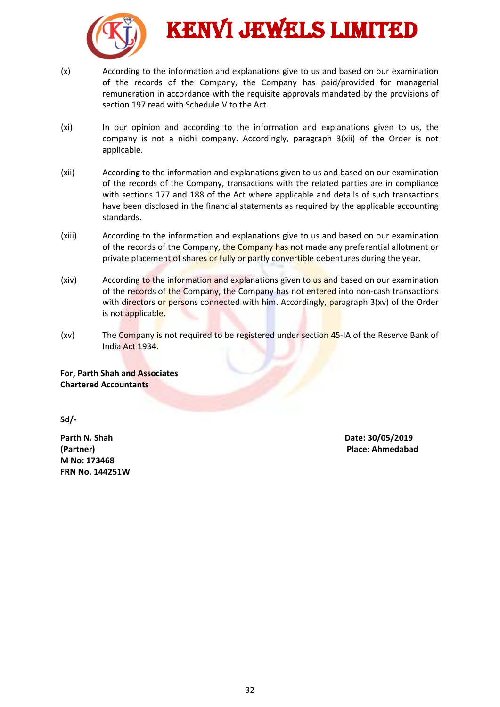

- (x) According to the information and explanations give to us and based on our examination of the records of the Company, the Company has paid/provided for managerial remuneration in accordance with the requisite approvals mandated by the provisions of section 197 read with Schedule V to the Act.
- (xi) In our opinion and according to the information and explanations given to us, the company is not a nidhi company. Accordingly, paragraph 3(xii) of the Order is not applicable.
- (xii) According to the information and explanations given to us and based on our examination of the records of the Company, transactions with the related parties are in compliance with sections 177 and 188 of the Act where applicable and details of such transactions have been disclosed in the financial statements as required by the applicable accounting standards.
- (xiii) According to the information and explanations give to us and based on our examination of the records of the Company, the Company has not made any preferential allotment or private placement of shares or fully or partly convertible debentures during the year.
- (xiv) According to the information and explanations given to us and based on our examination of the records of the Company, the Company has not entered into non-cash transactions with directors or persons connected with him. Accordingly, paragraph 3(xv) of the Order is not applicable.
- (xv) The Company is not required to be registered under section 45-IA of the Reserve Bank of India Act 1934.

**For, Parth Shah and Associates Chartered Accountants**

**Sd/-**

**M No: 173468 FRN No. 144251W**

**Parth N. Shah Date: 30/05/2019 (Partner) Place: Ahmedabad**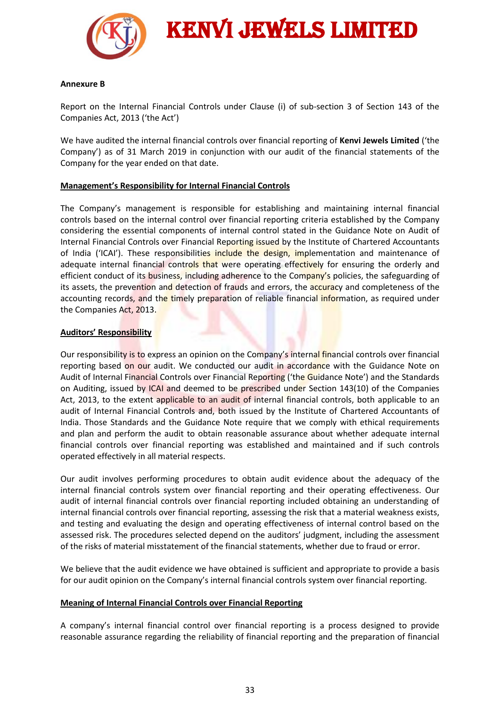

#### **Annexure B**

Report on the Internal Financial Controls under Clause (i) of sub-section 3 of Section 143 of the Companies Act, 2013 ('the Act')

We have audited the internal financial controls over financial reporting of **Kenvi Jewels Limited** ('the Company') as of 31 March 2019 in conjunction with our audit of the financial statements of the Company for the year ended on that date.

#### **Management's Responsibility for Internal Financial Controls**

The Company's management is responsible for establishing and maintaining internal financial controls based on the internal control over financial reporting criteria established by the Company considering the essential components of internal control stated in the Guidance Note on Audit of Internal Financial Controls over Financial Reporting issued by the Institute of Chartered Accountants of India ('ICAI'). These responsibilities include the design, implementation and maintenance of adequate internal financial controls that were operating effectively for ensuring the orderly and efficient conduct of its business, including adherence to the Company's policies, the safeguarding of its assets, the prevention and detection of frauds and errors, the accuracy and completeness of the accounting records, and the timely preparation of reliable financial information, as required under the Companies Act, 2013.

#### **Auditors' Responsibility**

Our responsibility is to express an opinion on the Company's internal financial controls over financial reporting based on our audit. We conducted our audit in accordance with the Guidance Note on Audit of Internal Financial Controls over Financial Reporting ('the Guidance Note') and the Standards on Auditing, issued by ICAI and deemed to be prescribed under Section 143(10) of the Companies Act, 2013, to the extent applicable to an audit of internal financial controls, both applicable to an audit of Internal Financial Controls and, both issued by the Institute of Chartered Accountants of India. Those Standards and the Guidance Note require that we comply with ethical requirements and plan and perform the audit to obtain reasonable assurance about whether adequate internal financial controls over financial reporting was established and maintained and if such controls operated effectively in all material respects.

Our audit involves performing procedures to obtain audit evidence about the adequacy of the internal financial controls system over financial reporting and their operating effectiveness. Our audit of internal financial controls over financial reporting included obtaining an understanding of internal financial controls over financial reporting, assessing the risk that a material weakness exists, and testing and evaluating the design and operating effectiveness of internal control based on the assessed risk. The procedures selected depend on the auditors' judgment, including the assessment of the risks of material misstatement of the financial statements, whether due to fraud or error.

We believe that the audit evidence we have obtained is sufficient and appropriate to provide a basis for our audit opinion on the Company's internal financial controls system over financial reporting.

#### **Meaning of Internal Financial Controls over Financial Reporting**

A company's internal financial control over financial reporting is a process designed to provide reasonable assurance regarding the reliability of financial reporting and the preparation of financial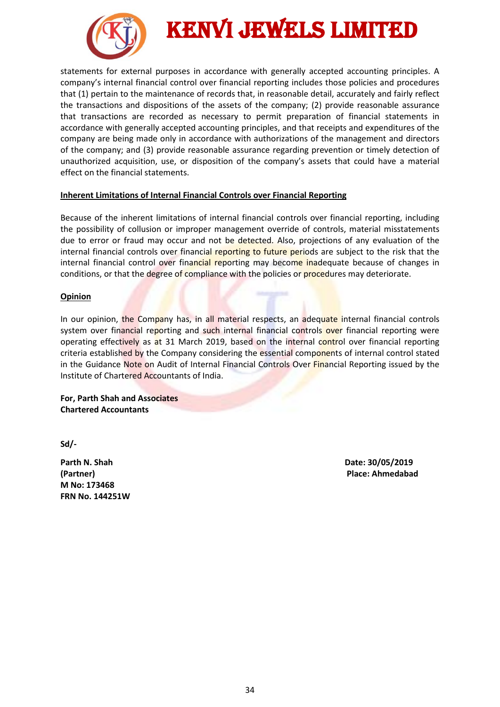

statements for external purposes in accordance with generally accepted accounting principles. A company's internal financial control over financial reporting includes those policies and procedures that (1) pertain to the maintenance of records that, in reasonable detail, accurately and fairly reflect the transactions and dispositions of the assets of the company; (2) provide reasonable assurance that transactions are recorded as necessary to permit preparation of financial statements in accordance with generally accepted accounting principles, and that receipts and expenditures of the company are being made only in accordance with authorizations of the management and directors of the company; and (3) provide reasonable assurance regarding prevention or timely detection of unauthorized acquisition, use, or disposition of the company's assets that could have a material effect on the financial statements.

#### **Inherent Limitations of Internal Financial Controls over Financial Reporting**

Because of the inherent limitations of internal financial controls over financial reporting, including the possibility of collusion or improper management override of controls, material misstatements due to error or fraud may occur and not be detected. Also, projections of any evaluation of the internal financial controls over financial reporting to future periods are subject to the risk that the internal financial control over financial reporting may become inadequate because of changes in conditions, or that the degree of compliance with the policies or procedures may deteriorate.

#### **Opinion**

In our opinion, the Company has, in all material respects, an adequate internal financial controls system over financial reporting and such internal financial controls over financial reporting were operating effectively as at 31 March 2019, based on the internal control over financial reporting criteria established by the Company considering the essential components of internal control stated in the Guidance Note on Audit of Internal Financial Controls Over Financial Reporting issued by the Institute of Chartered Accountants of India.

**For, Parth Shah and Associates Chartered Accountants**

**Sd/-**

**M No: 173468 FRN No. 144251W**

Parth N. Shah **Date: 30/05/2019 (Partner) Place: Ahmedabad**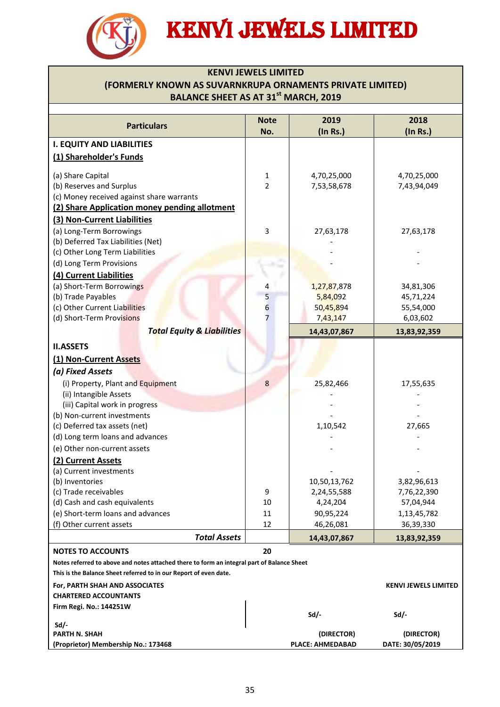

#### **KENVI JEWELS LIMITED (FORMERLY KNOWN AS SUVARNKRUPA ORNAMENTS PRIVATE LIMITED) BALANCE SHEET AS AT 31st MARCH, 2019**

| <b>Particulars</b>                                                                         | <b>Note</b>    | 2019                    | 2018                        |
|--------------------------------------------------------------------------------------------|----------------|-------------------------|-----------------------------|
|                                                                                            | No.            | $($ In Rs. $)$          | $($ In Rs. $)$              |
| <b>I. EQUITY AND LIABILITIES</b>                                                           |                |                         |                             |
| (1) Shareholder's Funds                                                                    |                |                         |                             |
|                                                                                            |                |                         |                             |
| (a) Share Capital                                                                          | $\mathbf{1}$   | 4,70,25,000             | 4,70,25,000                 |
| (b) Reserves and Surplus                                                                   | $\overline{2}$ | 7,53,58,678             | 7,43,94,049                 |
| (c) Money received against share warrants                                                  |                |                         |                             |
| (2) Share Application money pending allotment                                              |                |                         |                             |
| (3) Non-Current Liabilities                                                                |                |                         |                             |
| (a) Long-Term Borrowings                                                                   | 3              | 27,63,178               | 27,63,178                   |
| (b) Deferred Tax Liabilities (Net)                                                         |                |                         |                             |
| (c) Other Long Term Liabilities                                                            |                |                         |                             |
| (d) Long Term Provisions                                                                   |                |                         |                             |
| (4) Current Liabilities                                                                    |                |                         |                             |
| (a) Short-Term Borrowings                                                                  | 4              | 1,27,87,878             | 34,81,306                   |
| (b) Trade Payables                                                                         | 5              | 5,84,092                | 45,71,224                   |
| (c) Other Current Liabilities                                                              | 6              | 50,45,894               | 55,54,000                   |
| (d) Short-Term Provisions                                                                  | 7              | 7,43,147                | 6,03,602                    |
| <b>Total Equity &amp; Liabilities</b>                                                      |                | 14,43,07,867            | 13,83,92,359                |
| <b>II.ASSETS</b>                                                                           |                |                         |                             |
| (1) Non-Current Assets                                                                     |                |                         |                             |
| (a) Fixed Assets                                                                           |                |                         |                             |
| (i) Property, Plant and Equipment                                                          | 8              | 25,82,466               | 17,55,635                   |
| (ii) Intangible Assets                                                                     |                |                         |                             |
| (iii) Capital work in progress                                                             |                |                         |                             |
| (b) Non-current investments                                                                |                |                         |                             |
| (c) Deferred tax assets (net)                                                              |                | 1,10,542                | 27,665                      |
| (d) Long term loans and advances                                                           |                |                         |                             |
| (e) Other non-current assets                                                               |                |                         |                             |
| (2) Current Assets                                                                         |                |                         |                             |
| (a) Current investments                                                                    |                |                         |                             |
| (b) Inventories                                                                            |                | 10,50,13,762            | 3,82,96,613                 |
| (c) Trade receivables                                                                      | 9              | 2,24,55,588             | 7,76,22,390                 |
| (d) Cash and cash equivalents                                                              | 10             | 4,24,204                | 57,04,944                   |
| (e) Short-term loans and advances                                                          | 11             | 90,95,224               | 1,13,45,782                 |
| (f) Other current assets                                                                   | 12             | 46,26,081               | 36,39,330                   |
| <b>Total Assets</b>                                                                        |                | 14,43,07,867            | 13,83,92,359                |
| <b>NOTES TO ACCOUNTS</b>                                                                   | 20             |                         |                             |
| Notes referred to above and notes attached there to form an integral part of Balance Sheet |                |                         |                             |
| This is the Balance Sheet referred to in our Report of even date.                          |                |                         |                             |
| For, PARTH SHAH AND ASSOCIATES                                                             |                |                         | <b>KENVI JEWELS LIMITED</b> |
| <b>CHARTERED ACCOUNTANTS</b>                                                               |                |                         |                             |
| Firm Regi. No.: 144251W                                                                    |                |                         |                             |
|                                                                                            |                | $Sd$ .                  | $Sd$ .                      |
| $Sd$ .                                                                                     |                |                         |                             |
| PARTH N. SHAH                                                                              |                | (DIRECTOR)              | (DIRECTOR)                  |
| (Proprietor) Membership No.: 173468                                                        |                | <b>PLACE: AHMEDABAD</b> | DATE: 30/05/2019            |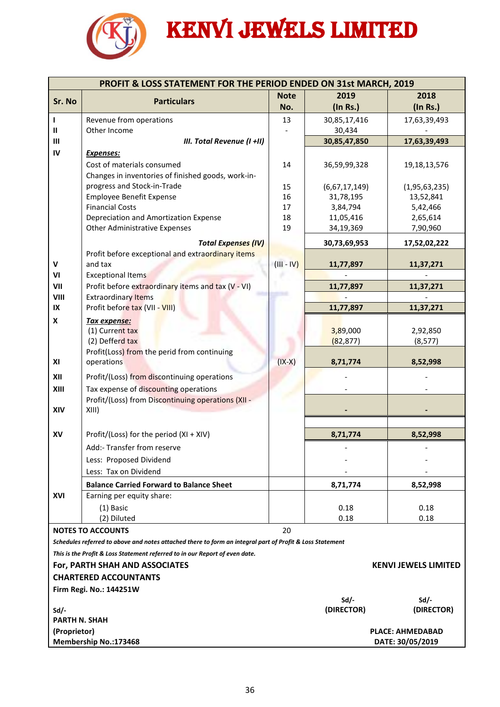

| PROFIT & LOSS STATEMENT FOR THE PERIOD ENDED ON 31st MARCH, 2019 |                                                                                                          |              |                |                             |  |  |
|------------------------------------------------------------------|----------------------------------------------------------------------------------------------------------|--------------|----------------|-----------------------------|--|--|
|                                                                  |                                                                                                          | <b>Note</b>  | 2019           | 2018                        |  |  |
| Sr. No                                                           | <b>Particulars</b>                                                                                       | No.          | $($ In Rs. $)$ | $($ In Rs. $)$              |  |  |
| $\mathbf{I}$                                                     | Revenue from operations                                                                                  | 13           | 30,85,17,416   | 17,63,39,493                |  |  |
| $\mathbf{u}$                                                     | Other Income                                                                                             |              | 30,434         |                             |  |  |
| Ш                                                                | III. Total Revenue (I +II)                                                                               |              | 30,85,47,850   | 17,63,39,493                |  |  |
| IV                                                               | <b>Expenses:</b>                                                                                         |              |                |                             |  |  |
|                                                                  | Cost of materials consumed                                                                               | 14           | 36,59,99,328   | 19, 18, 13, 576             |  |  |
|                                                                  | Changes in inventories of finished goods, work-in-                                                       |              |                |                             |  |  |
|                                                                  | progress and Stock-in-Trade                                                                              | 15           | (6,67,17,149)  | (1,95,63,235)               |  |  |
|                                                                  | <b>Employee Benefit Expense</b>                                                                          | 16           | 31,78,195      | 13,52,841                   |  |  |
|                                                                  | <b>Financial Costs</b>                                                                                   | 17           | 3,84,794       | 5,42,466                    |  |  |
|                                                                  | Depreciation and Amortization Expense                                                                    | 18           | 11,05,416      | 2,65,614                    |  |  |
|                                                                  | <b>Other Administrative Expenses</b>                                                                     | 19           | 34,19,369      | 7,90,960                    |  |  |
|                                                                  | <b>Total Expenses (IV)</b>                                                                               |              | 30,73,69,953   | 17,52,02,222                |  |  |
|                                                                  | Profit before exceptional and extraordinary items                                                        |              |                |                             |  |  |
| v                                                                | and tax                                                                                                  | $(III - IV)$ | 11,77,897      | 11,37,271                   |  |  |
| VI                                                               | <b>Exceptional Items</b>                                                                                 |              |                |                             |  |  |
| VII                                                              | Profit before extraordinary items and tax (V - VI)                                                       |              | 11,77,897      | 11,37,271                   |  |  |
| VIII                                                             | <b>Extraordinary Items</b>                                                                               |              |                |                             |  |  |
| IX                                                               | Profit before tax (VII - VIII)                                                                           |              | 11,77,897      | 11,37,271                   |  |  |
| X                                                                | <u>Tax expense:</u>                                                                                      |              |                |                             |  |  |
|                                                                  | (1) Current tax                                                                                          |              | 3,89,000       | 2,92,850                    |  |  |
|                                                                  | (2) Defferd tax                                                                                          |              | (82, 877)      | (8, 577)                    |  |  |
|                                                                  | Profit(Loss) from the perid from continuing                                                              |              |                |                             |  |  |
| XI                                                               | operations                                                                                               | $(IX-X)$     | 8,71,774       | 8,52,998                    |  |  |
| XII                                                              | Profit/(Loss) from discontinuing operations                                                              |              |                |                             |  |  |
| XIII                                                             | Tax expense of discounting operations                                                                    |              |                |                             |  |  |
|                                                                  | Profit/(Loss) from Discontinuing operations (XII -                                                       |              |                |                             |  |  |
| XIV                                                              | XIII)                                                                                                    |              |                |                             |  |  |
|                                                                  |                                                                                                          |              |                |                             |  |  |
| XV                                                               | Profit/(Loss) for the period (XI + XIV)                                                                  |              | 8,71,774       | 8,52,998                    |  |  |
|                                                                  | Add:- Transfer from reserve                                                                              |              |                |                             |  |  |
|                                                                  | Less: Proposed Dividend                                                                                  |              |                |                             |  |  |
|                                                                  | Less: Tax on Dividend                                                                                    |              |                |                             |  |  |
|                                                                  | <b>Balance Carried Forward to Balance Sheet</b>                                                          |              | 8,71,774       | 8,52,998                    |  |  |
| XVI                                                              | Earning per equity share:                                                                                |              |                |                             |  |  |
|                                                                  | (1) Basic                                                                                                |              | 0.18           | 0.18                        |  |  |
|                                                                  | (2) Diluted                                                                                              |              | 0.18           | 0.18                        |  |  |
|                                                                  | <b>NOTES TO ACCOUNTS</b>                                                                                 | 20           |                |                             |  |  |
|                                                                  | Schedules referred to above and notes attached there to form an integral part of Profit & Loss Statement |              |                |                             |  |  |
|                                                                  | This is the Profit & Loss Statement referred to in our Report of even date.                              |              |                |                             |  |  |
|                                                                  | For, PARTH SHAH AND ASSOCIATES                                                                           |              |                | <b>KENVI JEWELS LIMITED</b> |  |  |
|                                                                  | <b>CHARTERED ACCOUNTANTS</b>                                                                             |              |                |                             |  |  |
|                                                                  |                                                                                                          |              |                |                             |  |  |
|                                                                  | Firm Regi. No.: 144251W                                                                                  |              | $Sd$ /-        | $Sd$ .                      |  |  |
| $Sd$ .                                                           |                                                                                                          |              | (DIRECTOR)     | (DIRECTOR)                  |  |  |
| <b>PARTH N. SHAH</b>                                             |                                                                                                          |              |                |                             |  |  |
| (Proprietor)                                                     |                                                                                                          |              |                | <b>PLACE: AHMEDABAD</b>     |  |  |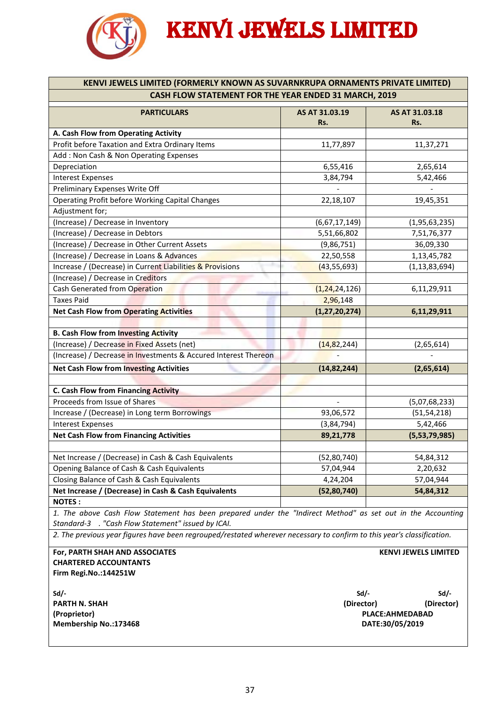

| KENVI JEWELS LIMITED (FORMERLY KNOWN AS SUVARNKRUPA ORNAMENTS PRIVATE LIMITED)                              |                       |                       |  |  |  |  |
|-------------------------------------------------------------------------------------------------------------|-----------------------|-----------------------|--|--|--|--|
| CASH FLOW STATEMENT FOR THE YEAR ENDED 31 MARCH, 2019                                                       |                       |                       |  |  |  |  |
| <b>PARTICULARS</b>                                                                                          | AS AT 31.03.19<br>Rs. | AS AT 31.03.18<br>Rs. |  |  |  |  |
| A. Cash Flow from Operating Activity                                                                        |                       |                       |  |  |  |  |
| Profit before Taxation and Extra Ordinary Items                                                             | 11,77,897             | 11,37,271             |  |  |  |  |
| Add: Non Cash & Non Operating Expenses                                                                      |                       |                       |  |  |  |  |
| Depreciation                                                                                                | 6,55,416              | 2,65,614              |  |  |  |  |
| <b>Interest Expenses</b>                                                                                    | 3,84,794              | 5,42,466              |  |  |  |  |
| Preliminary Expenses Write Off                                                                              |                       |                       |  |  |  |  |
| <b>Operating Profit before Working Capital Changes</b>                                                      | 22,18,107             | 19,45,351             |  |  |  |  |
| Adjustment for;                                                                                             |                       |                       |  |  |  |  |
| (Increase) / Decrease in Inventory                                                                          | (6, 67, 17, 149)      | (1,95,63,235)         |  |  |  |  |
| (Increase) / Decrease in Debtors                                                                            | 5,51,66,802           | 7,51,76,377           |  |  |  |  |
| (Increase) / Decrease in Other Current Assets                                                               | (9,86,751)            | 36,09,330             |  |  |  |  |
| (Increase) / Decrease in Loans & Advances                                                                   | 22,50,558             | 1,13,45,782           |  |  |  |  |
| Increase / (Decrease) in Current Liabilities & Provisions                                                   | (43, 55, 693)         | (1, 13, 83, 694)      |  |  |  |  |
| (Increase) / Decrease in Creditors                                                                          |                       |                       |  |  |  |  |
| Cash Generated from Operation                                                                               | (1, 24, 24, 126)      | 6,11,29,911           |  |  |  |  |
| <b>Taxes Paid</b>                                                                                           | 2,96,148              |                       |  |  |  |  |
| <b>Net Cash Flow from Operating Activities</b>                                                              | (1, 27, 20, 274)      | 6,11,29,911           |  |  |  |  |
|                                                                                                             |                       |                       |  |  |  |  |
| <b>B. Cash Flow from Investing Activity</b>                                                                 |                       |                       |  |  |  |  |
| (Increase) / Decrease in Fixed Assets (net)                                                                 | <u>(14,82,244)</u>    | (2,65,614)            |  |  |  |  |
| (Increase) / Decrease in Investments & Accured Interest Thereon                                             |                       |                       |  |  |  |  |
| <b>Net Cash Flow from Investing Activities</b>                                                              | (14, 82, 244)         | (2,65,614)            |  |  |  |  |
|                                                                                                             |                       |                       |  |  |  |  |
| <b>C. Cash Flow from Financing Activity</b>                                                                 |                       |                       |  |  |  |  |
| Proceeds from Issue of Shares                                                                               | $\overline{a}$        | (5,07,68,233)         |  |  |  |  |
| Increase / (Decrease) in Long term Borrowings                                                               | 93,06,572             | (51, 54, 218)         |  |  |  |  |
| <b>Interest Expenses</b>                                                                                    | (3, 84, 794)          | 5,42,466              |  |  |  |  |
| <b>Net Cash Flow from Financing Activities</b>                                                              | 89,21,778             | (5,53,79,985)         |  |  |  |  |
| Net Increase / (Decrease) in Cash & Cash Equivalents                                                        | (52, 80, 740)         | 54,84,312             |  |  |  |  |
| Opening Balance of Cash & Cash Equivalents                                                                  | 57,04,944             | 2,20,632              |  |  |  |  |
| Closing Balance of Cash & Cash Equivalents                                                                  | 4,24,204              | 57,04,944             |  |  |  |  |
| Net Increase / (Decrease) in Cash & Cash Equivalents                                                        | (52, 80, 740)         | 54,84,312             |  |  |  |  |
| <b>NOTES:</b>                                                                                               |                       |                       |  |  |  |  |
| 1. The above Cash Flow Statement has been prepared under the "Indirect Method" as set out in the Accounting |                       |                       |  |  |  |  |

*1. The above Cash Flow Statement has been prepared under the "Indirect Method" as set out in the Accounting Standard-3 . "Cash Flow Statement" issued by ICAI.*

*2. The previous year figures have been regrouped/restated wherever necessary to confirm to this year's classification.*

**For, PARTH SHAH AND ASSOCIATES KENVI JEWELS LIMITED CHARTERED ACCOUNTANTS Firm Regi.No.:144251W**

**Membership No.:173468 DATE:30/05/2019**

**Sd/- Sd/- Sd/- PARTH N. SHAH (Director) (Director) (Proprietor) PLACE:AHMEDABAD**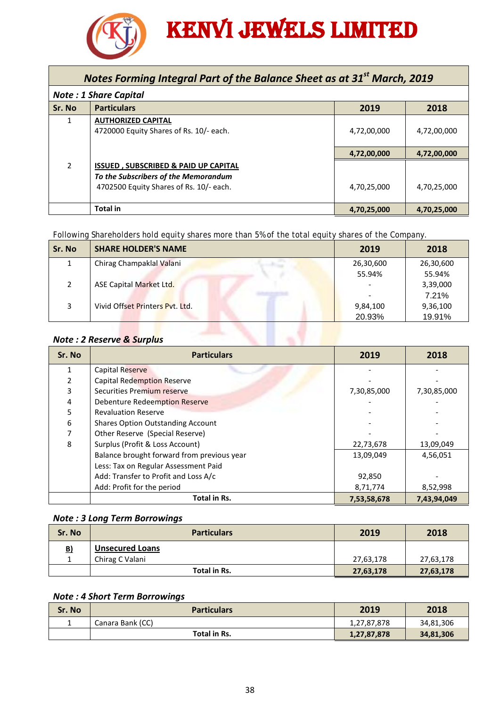

| Notes Forming Integral Part of the Balance Sheet as at 31 <sup>st</sup> March, 2019 |                                                                                                                                    |             |             |
|-------------------------------------------------------------------------------------|------------------------------------------------------------------------------------------------------------------------------------|-------------|-------------|
|                                                                                     | <b>Note: 1 Share Capital</b>                                                                                                       |             |             |
| Sr. No                                                                              | <b>Particulars</b>                                                                                                                 | 2019        | 2018        |
| 1                                                                                   | <b>AUTHORIZED CAPITAL</b><br>4720000 Equity Shares of Rs. 10/- each.                                                               | 4,72,00,000 | 4,72,00,000 |
|                                                                                     |                                                                                                                                    | 4,72,00,000 | 4,72,00,000 |
| $\mathcal{P}$                                                                       | <b>ISSUED, SUBSCRIBED &amp; PAID UP CAPITAL</b><br>To the Subscribers of the Memorandum<br>4702500 Equity Shares of Rs. 10/- each. | 4,70,25,000 | 4,70,25,000 |
|                                                                                     | <b>Total</b> in                                                                                                                    | 4,70,25,000 | 4,70,25,000 |

#### Following Shareholders hold equity shares more than 5% of the total equity shares of the Company.

| Sr. No                    | <b>SHARE HOLDER'S NAME</b>      | 2019      | 2018      |  |
|---------------------------|---------------------------------|-----------|-----------|--|
|                           | Chirag Champaklal Valani        | 26,30,600 | 26,30,600 |  |
|                           |                                 | 55.94%    | 55.94%    |  |
| $\mathcal{L}$             | ASE Capital Market Ltd.         |           | 3,39,000  |  |
|                           |                                 |           | 7.21%     |  |
| 3                         | Vivid Offset Printers Pyt. Ltd. | 9,84,100  | 9,36,100  |  |
|                           |                                 | 20.93%    | 19.91%    |  |
| Note: 2 Reserve & Surplus |                                 |           |           |  |

#### *Note : 2 Reserve & Surplus*

| Sr. No | <b>Particulars</b>                         | 2019        | 2018        |
|--------|--------------------------------------------|-------------|-------------|
|        | <b>Capital Reserve</b>                     |             |             |
|        | <b>Capital Redemption Reserve</b>          |             |             |
| 3      | Securities Premium reserve                 | 7,30,85,000 | 7,30,85,000 |
| 4      | Debenture Redeemption Reserve              |             |             |
| 5      | <b>Revaluation Reserve</b>                 |             |             |
| 6      | <b>Shares Option Outstanding Account</b>   |             |             |
|        | Other Reserve (Special Reserve)            |             |             |
| 8      | Surplus (Profit & Loss Account)            | 22,73,678   | 13,09,049   |
|        | Balance brought forward from previous year | 13,09,049   | 4,56,051    |
|        | Less: Tax on Regular Assessment Paid       |             |             |
|        | Add: Transfer to Profit and Loss A/c       | 92,850      |             |
|        | Add: Profit for the period                 | 8,71,774    | 8,52,998    |
|        | <b>Total in Rs.</b>                        | 7,53,58,678 | 7,43,94,049 |

#### *Note : 3 Long Term Borrowings*

| Sr. No    | <b>Particulars</b>     | 2019      | 2018      |
|-----------|------------------------|-----------|-----------|
| <u>B)</u> | <b>Unsecured Loans</b> |           |           |
|           | Chirag C Valani        | 27,63,178 | 27,63,178 |
|           | Total in Rs.           | 27,63,178 | 27,63,178 |

#### *Note : 4 Short Term Borrowings*

| Sr. No | <b>Particulars</b> | 2019        | 2018      |
|--------|--------------------|-------------|-----------|
|        | Canara Bank (CC)   | 1,27,87,878 | 34,81,306 |
|        | Total in Rs.       | 1,27,87,878 | 34,81,306 |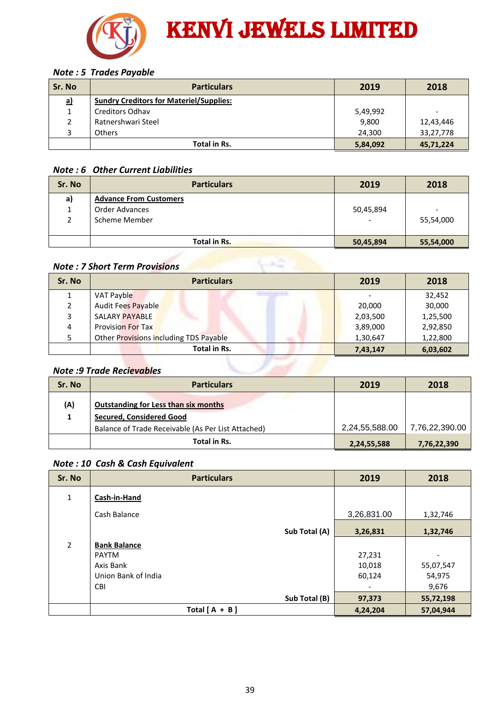

#### *Note : 5 Trades Payable*

| Sr. No    | <b>Particulars</b>                             | 2019     | 2018      |
|-----------|------------------------------------------------|----------|-----------|
| <u>a)</u> | <b>Sundry Creditors for Materiel/Supplies:</b> |          |           |
|           | <b>Creditors Odhav</b>                         | 5,49,992 |           |
|           | Ratnershwari Steel                             | 9,800    | 12,43,446 |
| 3.        | <b>Others</b>                                  | 24.300   | 33,27,778 |
|           | Total in Rs.                                   | 5,84,092 | 45,71,224 |

#### *Note : 6 Other Current Liabilities*

| Sr. No       | <b>Particulars</b>            | 2019      | 2018                     |
|--------------|-------------------------------|-----------|--------------------------|
| a)           | <b>Advance From Customers</b> |           |                          |
| $\mathbf{1}$ | <b>Order Advances</b>         | 50,45,894 | $\overline{\phantom{0}}$ |
|              | Scheme Member                 |           | 55,54,000                |
|              |                               |           |                          |
|              | Total in Rs.                  | 50,45,894 | 55,54,000                |

#### *Note : 7 Short Term Provisions*

| Sr. No | <b>Particulars</b>                     | 2019     | 2018     |
|--------|----------------------------------------|----------|----------|
|        | VAT Payble                             |          | 32,452   |
| 2      | Audit Fees Payable                     | 20,000   | 30,000   |
| 3      | <b>SALARY PAYABLE</b>                  | 2,03,500 | 1,25,500 |
| 4      | <b>Provision For Tax</b>               | 3,89,000 | 2,92,850 |
|        | Other Provisions including TDS Payable | 1,30,647 | 1,22,800 |
|        | Total in Rs.                           | 7,43,147 | 6,03,602 |

#### *Note :9 Trade Recievables*

| Sr. No    | <b>Particulars</b>                                                             | 2019           | 2018           |
|-----------|--------------------------------------------------------------------------------|----------------|----------------|
| (A)<br>1. | <b>Outstanding for Less than six months</b><br><b>Secured, Considered Good</b> |                |                |
|           | Balance of Trade Receivable (As Per List Attached)                             | 2,24,55,588.00 | 7,76,22,390.00 |
|           | <b>Total in Rs.</b>                                                            | 2,24,55,588    | 7,76,22,390    |

#### *Note : 10 Cash & Cash Equivalent*

| Sr. No         | <b>Particulars</b>  | 2019                     | 2018                     |
|----------------|---------------------|--------------------------|--------------------------|
| 1              | Cash-in-Hand        |                          |                          |
|                | Cash Balance        | 3,26,831.00              | 1,32,746                 |
|                | Sub Total (A)       | 3,26,831                 | 1,32,746                 |
| $\overline{2}$ | <b>Bank Balance</b> |                          |                          |
|                | <b>PAYTM</b>        | 27,231                   | $\overline{\phantom{a}}$ |
|                | Axis Bank           | 10,018                   | 55,07,547                |
|                | Union Bank of India | 60,124                   | 54,975                   |
|                | <b>CBI</b>          | $\overline{\phantom{a}}$ | 9,676                    |
|                | Sub Total (B)       | 97,373                   | 55,72,198                |
|                | Total $[A + B]$     | 4,24,204                 | 57,04,944                |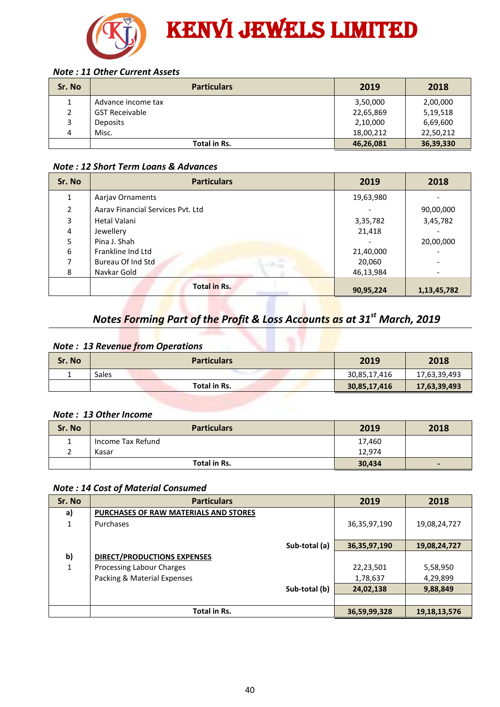

#### *Note : 11 Other Current Assets*

| Sr. No | <b>Particulars</b>    | 2019      | 2018      |
|--------|-----------------------|-----------|-----------|
|        | Advance income tax    | 3,50,000  | 2,00,000  |
|        | <b>GST Receivable</b> | 22,65,869 | 5,19,518  |
| 3      | <b>Deposits</b>       | 2,10,000  | 6,69,600  |
| 4      | Misc.                 | 18,00,212 | 22,50,212 |
|        | Total in Rs.          | 46,26,081 | 36,39,330 |

#### *Note : 12 Short Term Loans & Advances*

| Sr. No         | <b>Particulars</b>                | 2019      | 2018        |
|----------------|-----------------------------------|-----------|-------------|
|                | Aarjav Ornaments                  | 19,63,980 |             |
| $\mathfrak{p}$ | Aaray Financial Services Pyt. Ltd |           | 90,00,000   |
| 3              | Hetal Valani                      | 3,35,782  | 3,45,782    |
| 4              | Jewellery                         | 21,418    |             |
| 5.             | Pina J. Shah                      |           | 20,00,000   |
| 6              | Frankline Ind Ltd                 | 21,40,000 |             |
|                | Bureau Of Ind Std                 | 20,060    |             |
| 8              | Navkar Gold                       | 46,13,984 |             |
|                | Total in Rs.                      | 90,95,224 | 1,13,45,782 |

### *Notes Forming Part of the Profit & Loss Accounts as at 31st March, 2019*

| <b>Note: 13 Revenue from Operations</b> |                                              |              |              |  |  |  |
|-----------------------------------------|----------------------------------------------|--------------|--------------|--|--|--|
| Sr. No                                  | <b>Particulars</b>                           | 2019         | 2018         |  |  |  |
|                                         | Sales                                        | 30,85,17,416 | 17,63,39,493 |  |  |  |
|                                         | Total in Rs.<br>30,85,17,416<br>17,63,39,493 |              |              |  |  |  |

#### *Note : 13 Other Income*

| Sr. No | <b>Particulars</b> | 2019   | 2018                     |
|--------|--------------------|--------|--------------------------|
|        | Income Tax Refund  | 17,460 |                          |
| ∽      | Kasar              | 12,974 |                          |
|        | Total in Rs.       | 30,434 | $\overline{\phantom{0}}$ |

#### *Note : 14 Cost of Material Consumed*

| Sr. No | <b>Particulars</b>                    | 2019            | 2018            |
|--------|---------------------------------------|-----------------|-----------------|
| a)     | PURCHASES OF RAW MATERIALS AND STORES |                 |                 |
|        | Purchases                             | 36, 35, 97, 190 | 19,08,24,727    |
|        | Sub-total (a)                         | 36, 35, 97, 190 | 19,08,24,727    |
| b)     | DIRECT/PRODUCTIONS EXPENSES           |                 |                 |
| 1      | Processing Labour Charges             | 22,23,501       | 5,58,950        |
|        | Packing & Material Expenses           | 1,78,637        | 4,29,899        |
|        | Sub-total (b)                         | 24,02,138       | 9,88,849        |
|        |                                       |                 |                 |
|        | <b>Total in Rs.</b>                   | 36,59,99,328    | 19, 18, 13, 576 |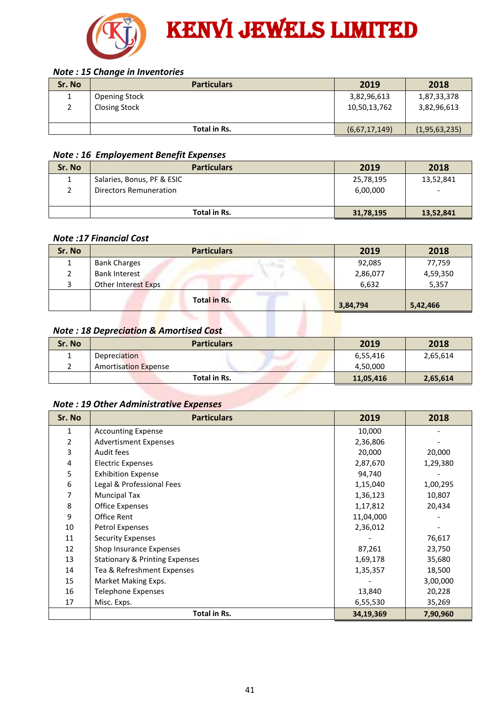

#### *Note : 15 Change in Inventories*

| Sr. No | <b>Particulars</b>   | 2019          | 2018          |
|--------|----------------------|---------------|---------------|
|        | <b>Opening Stock</b> | 3,82,96,613   | 1,87,33,378   |
|        | <b>Closing Stock</b> | 10,50,13,762  | 3,82,96,613   |
|        | Total in Rs.         | (6,67,17,149) | (1,95,63,235) |

#### *Note : 16 Employement Benefit Expenses*

| Sr. No | <b>Particulars</b>         | 2019      | 2018                     |
|--------|----------------------------|-----------|--------------------------|
|        | Salaries, Bonus, PF & ESIC | 25,78,195 | 13,52,841                |
|        | Directors Remuneration     | 6,00,000  | $\overline{\phantom{a}}$ |
|        | Total in Rs.               | 31,78,195 | 13,52,841                |

#### *Note :17 Financial Cost*

| Sr. No | <b>Particulars</b>   | 2019     | 2018     |
|--------|----------------------|----------|----------|
|        | <b>Bank Charges</b>  | 92,085   | 77,759   |
|        | <b>Bank Interest</b> | 2,86,077 | 4,59,350 |
|        | Other Interest Exps  | 6,632    | 5,357    |
|        | <b>Total in Rs.</b>  | 3,84,794 | 5,42,466 |

#### *Note : 18 Depreciation & Amortised Cost*

| Sr. No | <b>Particulars</b>          | 2019      | 2018     |
|--------|-----------------------------|-----------|----------|
|        | Depreciation                | 6,55,416  | 2,65,614 |
|        | <b>Amortisation Expense</b> | 4,50,000  |          |
|        | Total in Rs.                | 11,05,416 | 2,65,614 |

#### *Note : 19 Other Administrative Expenses*

| Sr. No         | <b>Particulars</b>                        | 2019      | 2018     |
|----------------|-------------------------------------------|-----------|----------|
| 1              | <b>Accounting Expense</b>                 | 10,000    |          |
| $\overline{2}$ | <b>Advertisment Expenses</b>              | 2,36,806  |          |
| 3              | Audit fees                                | 20,000    | 20,000   |
| 4              | <b>Electric Expenses</b>                  | 2,87,670  | 1,29,380 |
| 5              | <b>Exhibition Expense</b>                 | 94,740    |          |
| 6              | Legal & Professional Fees                 | 1,15,040  | 1,00,295 |
| 7              | <b>Muncipal Tax</b>                       | 1,36,123  | 10,807   |
| 8              | Office Expenses                           | 1,17,812  | 20,434   |
| 9              | Office Rent                               | 11,04,000 |          |
| 10             | <b>Petrol Expenses</b>                    | 2,36,012  |          |
| 11             | <b>Security Expenses</b>                  |           | 76,617   |
| 12             | Shop Insurance Expenses                   | 87,261    | 23,750   |
| 13             | <b>Stationary &amp; Printing Expenses</b> | 1,69,178  | 35,680   |
| 14             | Tea & Refreshment Expenses                | 1,35,357  | 18,500   |
| 15             | Market Making Exps.                       |           | 3,00,000 |
| 16             | <b>Telephone Expenses</b>                 | 13,840    | 20,228   |
| 17             | Misc. Exps.                               | 6,55,530  | 35,269   |
|                | Total in Rs.                              | 34,19,369 | 7,90,960 |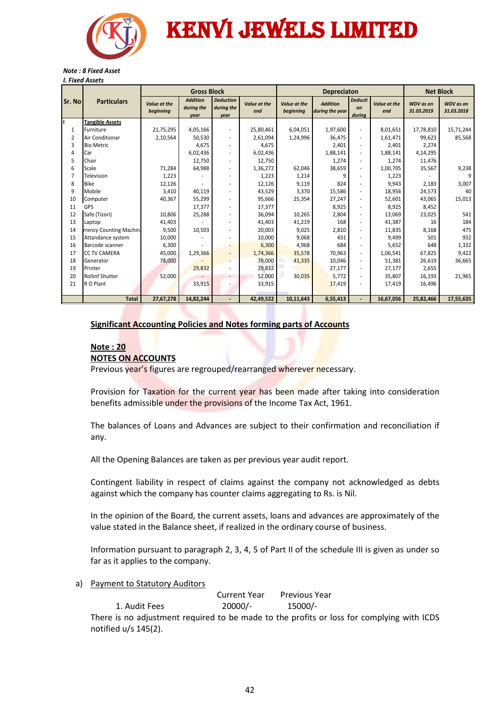

#### *Note : 8 Fixed Asset I. Fixed Assets*

|                |                        | <b>Gross Block</b><br><b>Depreciaton</b> |                                       |                                        |                     |                           | <b>Net Block</b>                   |                                |                     |                                |                                |
|----------------|------------------------|------------------------------------------|---------------------------------------|----------------------------------------|---------------------|---------------------------|------------------------------------|--------------------------------|---------------------|--------------------------------|--------------------------------|
| l Sr. Nol      | <b>Particulars</b>     | Value at the<br>beginning                | <b>Addition</b><br>during the<br>year | <b>Deduction</b><br>during the<br>year | Value at the<br>end | Value at the<br>beginning | <b>Addition</b><br>during the year | <b>Deducti</b><br>on<br>durina | Value at the<br>end | <b>WDV</b> as on<br>31.03.2019 | <b>WDV</b> as on<br>31.03.2018 |
| п              | <b>Tangible Assets</b> |                                          |                                       |                                        |                     |                           |                                    |                                |                     |                                |                                |
| $\mathbf{1}$   | Furniture              | 21,75,295                                | 4,05,166                              | ٠                                      | 25,80,461           | 6,04,051                  | 1,97,600                           | ٠                              | 8,01,651            | 17,78,810                      | 15,71,244                      |
| $\overline{2}$ | Air Conditionar        | 2,10,564                                 | 50,530                                | ٠                                      | 2,61,094            | 1,24,996                  | 36,475                             | ٠                              | 1,61,471            | 99,623                         | 85,568                         |
| 3              | <b>Bio Metric</b>      |                                          | 4.675                                 | ٠                                      | 4.675               |                           | 2,401                              | ÷                              | 2,401               | 2,274                          |                                |
| 4              | Car                    |                                          | 6,02,436                              | ٠                                      | 6,02,436            |                           | 1,88,141                           | ×                              | 1,88,141            | 4,14,295                       |                                |
| 5              | Chair                  |                                          | 12,750                                | ٠                                      | 12,750              |                           | 1,274                              | ٠                              | 1,274               | 11,476                         |                                |
| 6              | Scale                  | 71,284                                   | 64,988                                | ٠                                      | 1,36,272            | 62,046                    | 38,659                             | ٠                              | 1,00,705            | 35,567                         | 9,238                          |
| 7              | Television             | 1,223                                    |                                       | ٠                                      | 1,223               | 1,214                     | 9                                  |                                | 1,223               |                                | 9                              |
| 8              | <b>Bike</b>            | 12,126                                   |                                       | ٠                                      | 12,126              | 9,119                     | 824                                | ٠                              | 9,943               | 2,183                          | 3,007                          |
| 9              | Mobile                 | 3,410                                    | 40,119                                | ä,                                     | 43,529              | 3,370                     | 15,586                             | ٠                              | 18,956              | 24,573                         | 40                             |
| 10             | Computer               | 40,367                                   | 55,299                                | ٠                                      | 95,666              | 25,354                    | 27,247                             | ÷                              | 52,601              | 43,065                         | 15,013                         |
| 11             | GPS                    |                                          | 17,377                                | ٠                                      | 17,377              |                           | 8,925                              | ×                              | 8,925               | 8,452                          |                                |
| 12             | Safe (Tizori)          | 10,806                                   | 25,288                                | ٠                                      | 36,094              | 10,265                    | 2,804                              | ×                              | 13,069              | 23,025                         | 541                            |
| 13             | Laptop                 | 41,403                                   |                                       | ٠                                      | 41,403              | 41,219                    | 168                                | ٠                              | 41,387              | 16                             | 184                            |
| 14             | rrency Counting Machin | 9,500                                    | 10,503                                | ٠                                      | 20,003              | 9,025                     | 2,810                              | ×                              | 11,835              | 8,168                          | 475                            |
| 15             | Attandance system      | 10,000                                   |                                       |                                        | 10,000              | 9,068                     | 431                                | $\sim$                         | 9,499               | 501                            | 932                            |
| 16             | Barcode scanner        | 6,300                                    |                                       |                                        | 6,300               | 4,968                     | 684                                | ×                              | 5,652               | 648                            | 1,332                          |
| 17             | <b>CC TV CAMERA</b>    | 45,000                                   | 1,29,366                              | $\overline{a}$                         | 1,74,366            | 35,578                    | 70,963                             | ٠                              | 1,06,541            | 67,825                         | 9,422                          |
| 18             | Generator              | 78,000                                   |                                       |                                        | 78,000              | 41,335                    | 10,046                             | ٠                              | 51,381              | 26,619                         | 36,665                         |
| 19             | Printer                |                                          | 29,832                                |                                        | 29,832              |                           | 27,177                             | ٠                              | 27,177              | 2,655                          |                                |
| 20             | <b>Rollinf Shutter</b> | 52,000                                   |                                       |                                        | 52,000              | 30,035                    | 5.772                              | ٠                              | 35.807              | 16,193                         | 21,965                         |
| 21             | R O Plant              |                                          | 33,915                                |                                        | 33,915              |                           | 17,419                             |                                | 17,419              | 16,496                         |                                |
|                |                        |                                          |                                       |                                        |                     |                           |                                    |                                |                     |                                |                                |
|                | <b>Total</b>           | 27,67,278                                | 14,82,244                             | $\overline{\phantom{0}}$               | 42,49,522           | 10,11,643                 | 6,55,413                           | ٠                              | 16,67,056           | 25,82,466                      | 17,55,635                      |

#### **Significant Accounting Policies and Notes forming parts of Accounts**

#### **Note : 20 NOTES ON ACCOUNTS**

Previous year's figures are regrouped/rearranged wherever necessary.

Provision for Taxation for the current year has been made after taking into consideration benefits admissible under the provisions of the Income Tax Act, 1961.

The balances of Loans and Advances are subject to their confirmation and reconciliation if any.

All the Opening Balances are taken as per previous year audit report.

Contingent liability in respect of claims against the company not acknowledged as debts against which the company has counter claims aggregating to Rs. is Nil.

In the opinion of the Board, the current assets, loans and advances are approximately of the value stated in the Balance sheet, if realized in the ordinary course of business.

Information pursuant to paragraph 2, 3, 4, 5 of Part II of the schedule III is given as under so far as it applies to the company.

#### a) Payment to Statutory Auditors

Current Year Previous Year 1. Audit Fees 20000/- 15000/- There is no adjustment required to be made to the profits or loss for complying with ICDS notified u/s 145(2).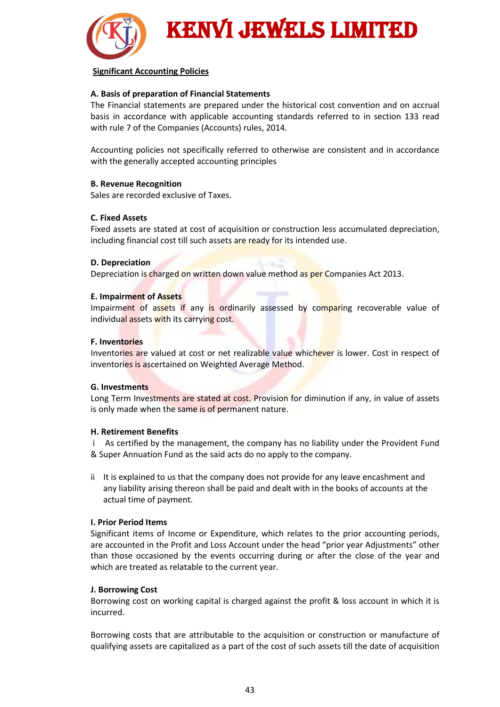

#### **Significant Accounting Policies**

#### **A. Basis of preparation of Financial Statements**

The Financial statements are prepared under the historical cost convention and on accrual basis in accordance with applicable accounting standards referred to in section 133 read with rule 7 of the Companies (Accounts) rules, 2014.

Accounting policies not specifically referred to otherwise are consistent and in accordance with the generally accepted accounting principles

#### **B. Revenue Recognition**

Sales are recorded exclusive of Taxes.

#### **C. Fixed Assets**

Fixed assets are stated at cost of acquisition or construction less accumulated depreciation, including financial cost till such assets are ready for its intended use.

#### **D. Depreciation**

Depreciation is charged on written down value method as per Companies Act 2013.

#### **E. Impairment of Assets**

Impairment of assets if any is ordinarily assessed by comparing recoverable value of individual assets with its carrying cost.

#### **F. Inventories**

Inventories are valued at cost or net realizable value whichever is lower. Cost in respect of inventories is ascertained on Weighted Average Method.

#### **G. Investments**

Long Term Investments are stated at cost. Provision for diminution if any, in value of assets is only made when the same is of permanent nature.

#### **H. Retirement Benefits**

i As certified by the management, the company has no liability under the Provident Fund & Super Annuation Fund as the said acts do no apply to the company.

ii It is explained to us that the company does not provide for any leave encashment and any liability arising thereon shall be paid and dealt with in the books of accounts at the actual time of payment.

#### **I. Prior Period Items**

Significant items of Income or Expenditure, which relates to the prior accounting periods, are accounted in the Profit and Loss Account under the head "prior year Adjustments" other than those occasioned by the events occurring during or after the close of the year and which are treated as relatable to the current year.

#### **J. Borrowing Cost**

Borrowing cost on working capital is charged against the profit & loss account in which it is incurred.

Borrowing costs that are attributable to the acquisition or construction or manufacture of qualifying assets are capitalized as a part of the cost of such assets till the date of acquisition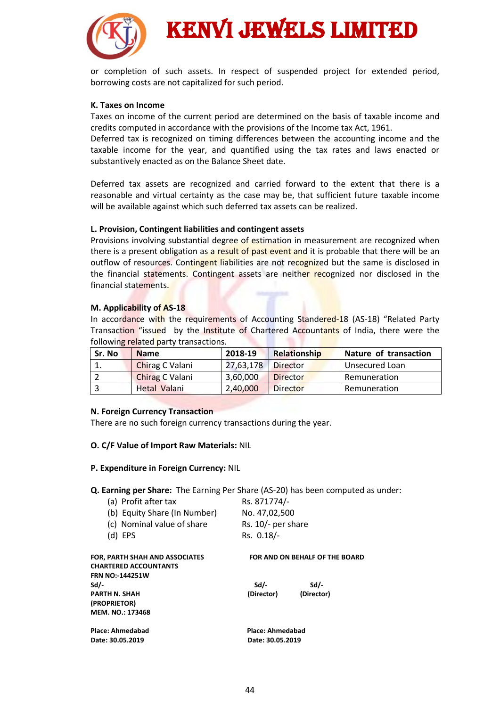

or completion of such assets. In respect of suspended project for extended period, borrowing costs are not capitalized for such period.

#### **K. Taxes on Income**

Taxes on income of the current period are determined on the basis of taxable income and credits computed in accordance with the provisions of the Income tax Act, 1961.

Deferred tax is recognized on timing differences between the accounting income and the taxable income for the year, and quantified using the tax rates and laws enacted or substantively enacted as on the Balance Sheet date.

Deferred tax assets are recognized and carried forward to the extent that there is a reasonable and virtual certainty as the case may be, that sufficient future taxable income will be available against which such deferred tax assets can be realized.

#### **L. Provision, Contingent liabilities and contingent assets**

Provisions involving substantial degree of estimation in measurement are recognized when there is a present obligation as a result of past event and it is probable that there will be an outflow of resources. Contingent liabilities are not recognized but the same is disclosed in the financial statements. Contingent assets are neither recognized nor disclosed in the financial statements.

#### **M. Applicability of AS-18**

In accordance with the requirements of Accounting Standered-18 (AS-18) "Related Party Transaction "issued by the Institute of Chartered Accountants of India, there were the following related party transactions.

| Sr. No | <b>Name</b>            | 2018-19   | Relationship    | Nature of transaction |
|--------|------------------------|-----------|-----------------|-----------------------|
|        | Chirag C Valani        | 27,63,178 | <b>Director</b> | Unsecured Loan        |
|        | <b>Chirag C Valani</b> | 3,60,000  | Director        | Remuneration          |
|        | Hetal Valani           | 2,40,000  | <b>Director</b> | Remuneration          |

#### **N. Foreign Currency Transaction**

There are no such foreign currency transactions during the year.

#### **O. C/F Value of Import Raw Materials:** NIL

#### **P. Expenditure in Foreign Currency:** NIL

#### **Q. Earning per Share:** The Earning Per Share (AS-20) has been computed as under:

| (a) Profit after tax         | Rs. 871774/-       |
|------------------------------|--------------------|
| (b) Equity Share (In Number) | No. 47,02,500      |
| (c) Nominal value of share   | Rs. 10/- per share |
| $(d)$ EPS                    | Rs. 0.18/-         |

| FOR, PARTH SHAH AND ASSOCIATES |                  | FOR AND ON BEHALF OF THE BOARD |
|--------------------------------|------------------|--------------------------------|
| <b>CHARTERED ACCOUNTANTS</b>   |                  |                                |
| <b>FRN NO:-144251W</b>         |                  |                                |
| Sd/-                           | Sd               | $Sd$ /-                        |
| PARTH N. SHAH                  | (Director)       | (Director)                     |
| (PROPRIETOR)                   |                  |                                |
| MEM. NO.: 173468               |                  |                                |
| Place: Ahmedabad               | Place: Ahmedabad |                                |
| Date: 30.05.2019               | Date: 30.05.2019 |                                |
|                                |                  |                                |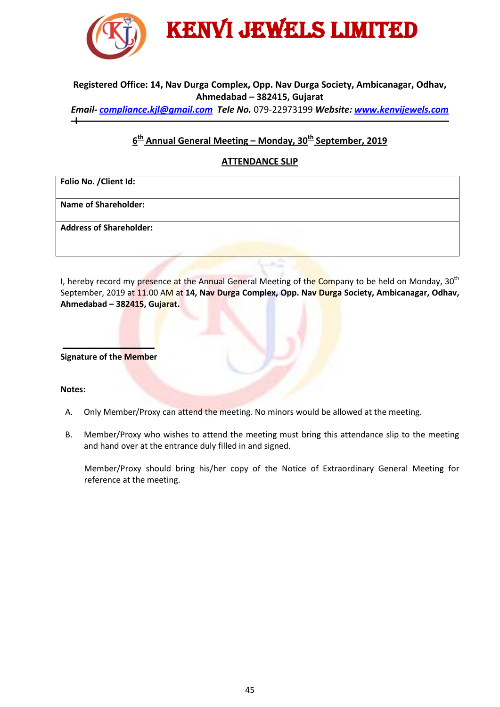

#### **Registered Office: 14, Nav Durga Complex, Opp. Nav Durga Society, Ambicanagar, Odhav, Ahmedabad – 382415, Gujarat**

*Email- [compliance.kjl@gmail.com](mailto:compliance.kjl@gmail.com) Tele No.* 079-22973199 *Website: [www.kenvijewels.com](http://www.kenvijewels.com/)*

#### **6th Annual General Meeting – Monday, 30th September, 2019**

#### **ATTENDANCE SLIP**

| Folio No. / Client Id:         |  |
|--------------------------------|--|
| <b>Name of Shareholder:</b>    |  |
| <b>Address of Shareholder:</b> |  |
|                                |  |
|                                |  |

I, hereby record my presence at the Annual General Meeting of the Company to be held on Monday, 30<sup>th</sup> September, 2019 at 11.00 AM at **14, Nav Durga Complex, Opp. Nav Durga Society, Ambicanagar, Odhav, Ahmedabad – 382415, Gujarat.**

#### **\_\_\_\_\_\_\_\_\_\_\_\_\_\_\_\_\_\_\_\_\_ Signature of the Member**

#### **Notes:**

- A. Only Member/Proxy can attend the meeting. No minors would be allowed at the meeting.
- B. Member/Proxy who wishes to attend the meeting must bring this attendance slip to the meeting and hand over at the entrance duly filled in and signed.

Member/Proxy should bring his/her copy of the Notice of Extraordinary General Meeting for reference at the meeting.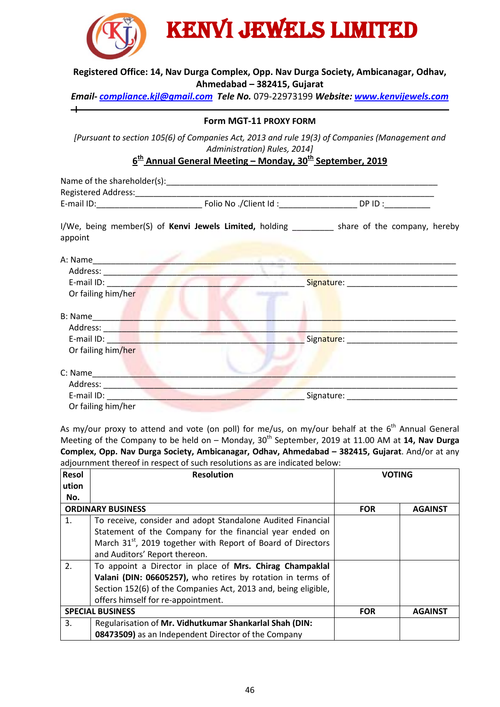

#### **Registered Office: 14, Nav Durga Complex, Opp. Nav Durga Society, Ambicanagar, Odhav, Ahmedabad – 382415, Gujarat**

*Email- [compliance.kjl@gmail.com](mailto:compliance.kjl@gmail.com) Tele No.* 079-22973199 *Website: [www.kenvijewels.com](http://www.kenvijewels.com/)*

#### **Form MGT-11 PROXY FORM**

*[Pursuant to section 105(6) of Companies Act, 2013 and rule 19(3) of Companies (Management and Administration) Rules, 2014]*

#### **6th Annual General Meeting – Monday, 30th September, 2019**

| Name of the shareholder(s): |                       |       |  |
|-----------------------------|-----------------------|-------|--|
| Registered Address:         |                       |       |  |
| E-mail ID:                  | Folio No ./Client Id: | DPID: |  |
|                             |                       |       |  |

I/We, being member(S) of **Kenvi Jewels Limited,** holding extends that the company, hereby appoint

| A: Name            |                       |
|--------------------|-----------------------|
| Address:           |                       |
| E-mail ID:         | Signature:            |
| Or failing him/her |                       |
| B: Name            |                       |
|                    |                       |
| Address: _____     |                       |
| E-mail ID:         | Signature: Signature: |
| Or failing him/her |                       |
|                    |                       |
| C: Name            |                       |
| Address:           |                       |
| E-mail ID:         | Signature:            |
| Or failing him/her |                       |

As my/our proxy to attend and vote (on poll) for me/us, on my/our behalf at the 6<sup>th</sup> Annual General Meeting of the Company to be held on – Monday, 30<sup>th</sup> September, 2019 at 11.00 AM at **14, Nav Durga Complex, Opp. Nav Durga Society, Ambicanagar, Odhav, Ahmedabad – 382415, Gujarat**. And/or at any adjournment thereof in respect of such resolutions as are indicated below:

| Resol<br>ution           | <b>Resolution</b>                                                        | <b>VOTING</b> |                |
|--------------------------|--------------------------------------------------------------------------|---------------|----------------|
| No.                      |                                                                          |               |                |
| <b>ORDINARY BUSINESS</b> |                                                                          | <b>FOR</b>    | <b>AGAINST</b> |
| 1.                       | To receive, consider and adopt Standalone Audited Financial              |               |                |
|                          | Statement of the Company for the financial year ended on                 |               |                |
|                          | March 31 <sup>st</sup> , 2019 together with Report of Board of Directors |               |                |
|                          | and Auditors' Report thereon.                                            |               |                |
| 2.                       | To appoint a Director in place of Mrs. Chirag Champaklal                 |               |                |
|                          | Valani (DIN: 06605257), who retires by rotation in terms of              |               |                |
|                          | Section 152(6) of the Companies Act, 2013 and, being eligible,           |               |                |
|                          | offers himself for re-appointment.                                       |               |                |
| <b>SPECIAL BUSINESS</b>  |                                                                          | <b>FOR</b>    | <b>AGAINST</b> |
| 3.                       | Regularisation of Mr. Vidhutkumar Shankarlal Shah (DIN:                  |               |                |
|                          | 08473509) as an Independent Director of the Company                      |               |                |